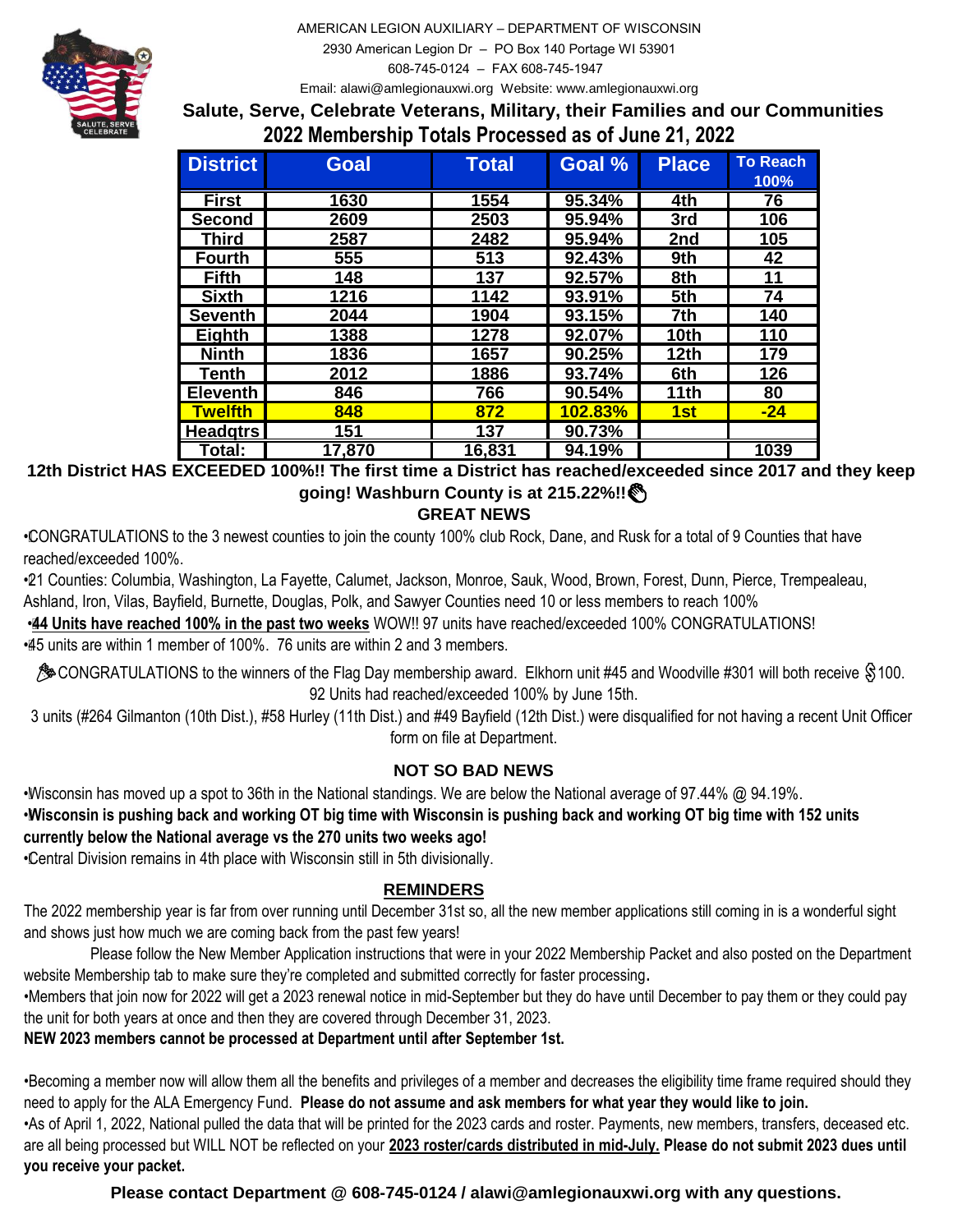AMERICAN LEGION AUXILIARY – DEPARTMENT OF WISCONSIN 2930 American Legion Dr – PO Box 140 Portage WI 53901

608-745-0124 – FAX 608-745-1947



Email: alawi@amlegionauxwi.org Website: www.amlegionauxwi.org

**Salute, Serve, Celebrate Veterans, Military, their Families and our Communities 2022 Membership Totals Processed as of June 21, 2022**

| <b>District</b> | <b>Goal</b> | <b>Total</b> | Goal %         | <b>Place</b> | <b>To Reach</b><br>100% |
|-----------------|-------------|--------------|----------------|--------------|-------------------------|
| <b>First</b>    | 1630        | 1554         | 95.34%         | 4th          | 76                      |
| <b>Second</b>   | 2609        | 2503         | 95.94%         | 3rd          | 106                     |
| Third           | 2587        | 2482         | 95.94%         | 2nd          | 105                     |
| <b>Fourth</b>   | 555         | 513          | 92.43%         | 9th          | 42                      |
| <b>Fifth</b>    | 148         | 137          | 92.57%         | 8th          | 11                      |
| <b>Sixth</b>    | 1216        | 1142         | 93.91%         | 5th          | 74                      |
| <b>Seventh</b>  | 2044        | 1904         | 93.15%         | 7th          | 140                     |
| <b>Eighth</b>   | 1388        | 1278         | 92.07%         | 10th         | 110                     |
| <b>Ninth</b>    | 1836        | 1657         | 90.25%         | 12th         | 179                     |
| Tenth           | 2012        | 1886         | 93.74%         | 6th          | 126                     |
| <b>Eleventh</b> | 846         | 766          | 90.54%         | 11th         | 80                      |
| <b>Twelfth</b>  | 848         | 872          | <b>102.83%</b> | 1st          | $-24$                   |
| <b>Headgtrs</b> | 151         | 137          | 90.73%         |              |                         |
| Total:          | 17,870      | 16,831       | 94.19%         |              | 1039                    |

**12th District HAS EXCEEDED 100%!! The first time a District has reached/exceeded since 2017 and they keep going! Washburn County is at 215.22%!! GREAT NEWS**

• CONGRATULATIONS to the 3 newest counties to join the county 100% club Rock, Dane, and Rusk for a total of 9 Counties that have reached/exceeded 100%.

• 21 Counties: Columbia, Washington, La Fayette, Calumet, Jackson, Monroe, Sauk, Wood, Brown, Forest, Dunn, Pierce, Trempealeau, Ashland, Iron, Vilas, Bayfield, Burnette, Douglas, Polk, and Sawyer Counties need 10 or less members to reach 100%

**44 Units have reached 100% in the past two weeks** WOW!! 97 units have reached/exceeded 100% CONGRATULATIONS!

• 45 units are within 1 member of 100%. 76 units are within 2 and 3 members.

**A**CONGRATULATIONS to the winners of the Flag Day membership award. Elkhorn unit #45 and Woodville #301 will both receive \$100. 92 Units had reached/exceeded 100% by June 15th.

3 units (#264 Gilmanton (10th Dist.), #58 Hurley (11th Dist.) and #49 Bayfield (12th Dist.) were disqualified for not having a recent Unit Officer form on file at Department.

## **NOT SO BAD NEWS**

• Wisconsin has moved up a spot to 36th in the National standings. We are below the National average of 97.44% @ 94.19%. • **Wisconsin is pushing back and working OT big time with Wisconsin is pushing back and working OT big time with 152 units currently below the National average vs the 270 units two weeks ago!**

• Central Division remains in 4th place with Wisconsin still in 5th divisionally.

## er to date we are 569 members behind. The sense are currently 1,014 2022 under the roster. The roster on the r<br>The roster left on the roster. The roster left on the roster. The roster is a member of the roster. The roster **REMINDERS**

The 2022 membership year is far from over running until December 31st so, all the new member applications still coming in is a wonderful sight and shows just how much we are coming back from the past few years!

 Please follow the New Member Application instructions that were in your 2022 Membership Packet and also posted on the Department website Membership tab to make sure they're completed and submitted correctly for faster processing**.**

•Members that join now for 2022 will get a 2023 renewal notice in mid-September but they do have until December to pay them or they could pay the unit for both years at once and then they are covered through December 31, 2023.

 **NEW 2023 members cannot be processed at Department until after September 1st.**

•Becoming a member now will allow them all the benefits and privileges of a member and decreases the eligibility time frame required should they need to apply for the ALA Emergency Fund. **Please do not assume and ask members for what year they would like to join.**

•As of April 1, 2022, National pulled the data that will be printed for the 2023 cards and roster. Payments, new members, transfers, deceased etc. are all being processed but WILL NOT be reflected on your **2023 roster/cards distributed in mid-July. Please do not submit 2023 dues until you receive your packet.** 

 **Please contact Department @ 608-745-0124 / alawi@amlegionauxwi.org with any questions.**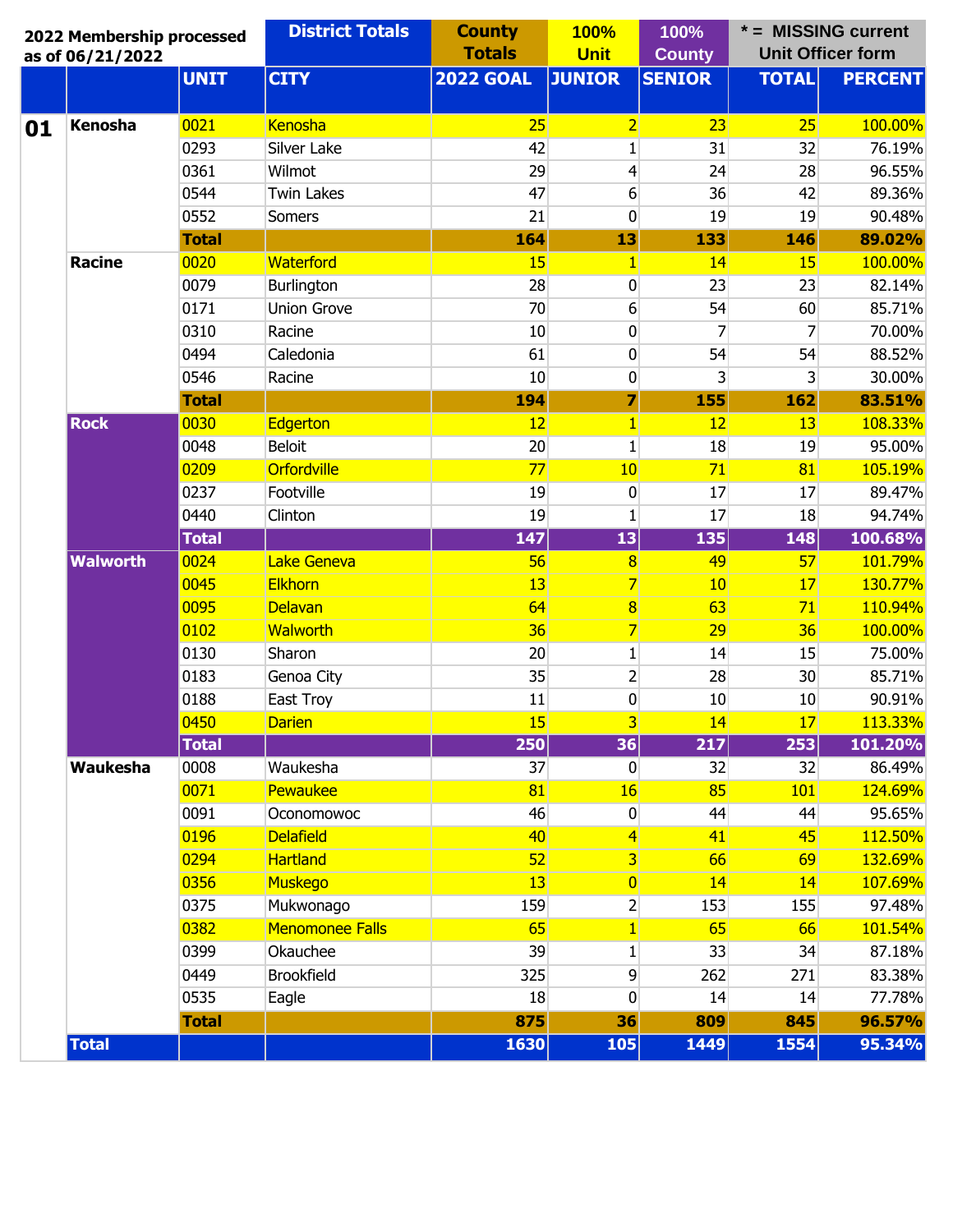| <b>CITY</b><br><b>UNIT</b><br><b>2022 GOAL</b><br><b>JUNIOR</b><br><b>SENIOR</b><br><b>TOTAL</b><br><b>Kenosha</b><br>0021<br>Kenosha<br>25<br>$\overline{2}$<br>23<br>25<br>01<br>0293<br>Silver Lake<br>42<br>31<br>32<br>1<br>0361<br>29<br>24<br>Wilmot<br>$\overline{4}$<br>28<br>0544<br>47<br>36<br><b>Twin Lakes</b><br>6<br>42<br>0552<br>21<br>0<br>19<br>19<br><b>Somers</b><br>164<br>133<br>146<br><b>Total</b><br>13<br>0020<br>Waterford<br>15<br><b>Racine</b><br>14<br>15<br>$\vert$<br>0079<br>Burlington<br>28<br>23<br>$\boldsymbol{0}$<br>23<br>0171<br><b>Union Grove</b><br>70<br>54<br>60<br>6<br>0310<br>10<br>$\overline{0}$<br>7<br>7<br>Racine<br>0494<br>61<br>54<br>54<br>Caledonia<br>0<br>$\overline{\mathbf{3}}$<br>0546<br>10<br>$\boldsymbol{0}$<br>3<br>Racine<br>7<br>194<br>155<br>162<br><b>Total</b><br><b>Rock</b><br>0030<br>12<br>$\vert$<br>12<br><b>Edgerton</b><br>13<br>0048<br><b>Beloit</b><br>20<br>18<br>1<br>19<br>0209<br>Orfordville<br>71<br>77<br>10<br>81<br>0237<br>Footville<br>19<br>17<br>0<br>17<br>0440<br>19<br>$\mathbf{1}$<br>17<br>18<br>Clinton<br>147<br><b>Total</b><br> 13 <br>135<br>148<br>0024<br>Lake Geneva<br><b>Walworth</b><br>56<br>49<br>57<br>$\overline{\mathbf{8}}$<br><b>Elkhorn</b><br>$\overline{7}$<br>0045<br>13<br>10<br>17<br>0095<br><b>Delavan</b><br>64<br>63<br>$\bf{8}$<br>71<br>0102<br><b>Walworth</b><br>36<br>$\overline{7}$<br>29<br>36<br>0130<br>Sharon<br>20<br>14<br>$\mathbf{1}$<br>15<br>$\mathbf{2}$<br>0183<br>35<br>28<br>30<br>Genoa City<br>0188<br>East Troy<br>11<br>0<br>10<br>10<br>15<br>$\overline{\mathbf{3}}$<br>0450<br>14<br>17<br><b>Darien</b><br>217<br><b>Total</b><br>250<br>36<br>253<br>0008<br>37<br>32<br>Waukesha<br>Waukesha<br>32<br>$\overline{0}$<br>0071<br>Pewaukee<br>85<br>81<br>16<br>101<br>0091<br>46<br>44<br>44<br>Oconomowoc<br>$\boldsymbol{0}$<br><b>Delafield</b><br>0196<br>40<br>41<br>45<br>$\left 4\right $<br>0294<br><b>Hartland</b><br>52<br>$\overline{3}$<br>66<br>69<br>0356<br><b>Muskego</b><br>13<br>$\overline{0}$<br>14<br>14<br>0375<br>Mukwonago<br>159<br>$\mathbf{2}$<br>153<br>155<br>0382<br><b>Menomonee Falls</b><br>$\vert$<br>65<br>65<br>66<br>0399<br>Okauchee<br>39<br>33<br>34<br>$\mathbf{1}$<br>0449<br><b>Brookfield</b><br>9<br>325<br>262<br>271<br>0535<br>Eagle<br>18<br>0<br>14<br>14<br>875<br>36<br>809<br>845<br><b>Total</b> | 2022 Membership processed<br>as of 06/21/2022 |  | <b>District Totals</b> | <b>County</b><br><b>Totals</b> | <b>100%</b><br><b>Unit</b> | 100%<br><b>County</b> | * = MISSING current<br><b>Unit Officer form</b> |                |
|----------------------------------------------------------------------------------------------------------------------------------------------------------------------------------------------------------------------------------------------------------------------------------------------------------------------------------------------------------------------------------------------------------------------------------------------------------------------------------------------------------------------------------------------------------------------------------------------------------------------------------------------------------------------------------------------------------------------------------------------------------------------------------------------------------------------------------------------------------------------------------------------------------------------------------------------------------------------------------------------------------------------------------------------------------------------------------------------------------------------------------------------------------------------------------------------------------------------------------------------------------------------------------------------------------------------------------------------------------------------------------------------------------------------------------------------------------------------------------------------------------------------------------------------------------------------------------------------------------------------------------------------------------------------------------------------------------------------------------------------------------------------------------------------------------------------------------------------------------------------------------------------------------------------------------------------------------------------------------------------------------------------------------------------------------------------------------------------------------------------------------------------------------------------------------------------------------------------------------------------------------------------------------------------------------------------------------------------------------------------------------------------------------------------------|-----------------------------------------------|--|------------------------|--------------------------------|----------------------------|-----------------------|-------------------------------------------------|----------------|
|                                                                                                                                                                                                                                                                                                                                                                                                                                                                                                                                                                                                                                                                                                                                                                                                                                                                                                                                                                                                                                                                                                                                                                                                                                                                                                                                                                                                                                                                                                                                                                                                                                                                                                                                                                                                                                                                                                                                                                                                                                                                                                                                                                                                                                                                                                                                                                                                                            |                                               |  |                        |                                |                            |                       |                                                 | <b>PERCENT</b> |
|                                                                                                                                                                                                                                                                                                                                                                                                                                                                                                                                                                                                                                                                                                                                                                                                                                                                                                                                                                                                                                                                                                                                                                                                                                                                                                                                                                                                                                                                                                                                                                                                                                                                                                                                                                                                                                                                                                                                                                                                                                                                                                                                                                                                                                                                                                                                                                                                                            |                                               |  |                        |                                |                            |                       |                                                 | 100.00%        |
|                                                                                                                                                                                                                                                                                                                                                                                                                                                                                                                                                                                                                                                                                                                                                                                                                                                                                                                                                                                                                                                                                                                                                                                                                                                                                                                                                                                                                                                                                                                                                                                                                                                                                                                                                                                                                                                                                                                                                                                                                                                                                                                                                                                                                                                                                                                                                                                                                            |                                               |  |                        |                                |                            |                       |                                                 | 76.19%         |
|                                                                                                                                                                                                                                                                                                                                                                                                                                                                                                                                                                                                                                                                                                                                                                                                                                                                                                                                                                                                                                                                                                                                                                                                                                                                                                                                                                                                                                                                                                                                                                                                                                                                                                                                                                                                                                                                                                                                                                                                                                                                                                                                                                                                                                                                                                                                                                                                                            |                                               |  |                        |                                |                            |                       |                                                 | 96.55%         |
|                                                                                                                                                                                                                                                                                                                                                                                                                                                                                                                                                                                                                                                                                                                                                                                                                                                                                                                                                                                                                                                                                                                                                                                                                                                                                                                                                                                                                                                                                                                                                                                                                                                                                                                                                                                                                                                                                                                                                                                                                                                                                                                                                                                                                                                                                                                                                                                                                            |                                               |  |                        |                                |                            |                       |                                                 | 89.36%         |
|                                                                                                                                                                                                                                                                                                                                                                                                                                                                                                                                                                                                                                                                                                                                                                                                                                                                                                                                                                                                                                                                                                                                                                                                                                                                                                                                                                                                                                                                                                                                                                                                                                                                                                                                                                                                                                                                                                                                                                                                                                                                                                                                                                                                                                                                                                                                                                                                                            |                                               |  |                        |                                |                            |                       |                                                 | 90.48%         |
|                                                                                                                                                                                                                                                                                                                                                                                                                                                                                                                                                                                                                                                                                                                                                                                                                                                                                                                                                                                                                                                                                                                                                                                                                                                                                                                                                                                                                                                                                                                                                                                                                                                                                                                                                                                                                                                                                                                                                                                                                                                                                                                                                                                                                                                                                                                                                                                                                            |                                               |  |                        |                                |                            |                       |                                                 | 89.02%         |
|                                                                                                                                                                                                                                                                                                                                                                                                                                                                                                                                                                                                                                                                                                                                                                                                                                                                                                                                                                                                                                                                                                                                                                                                                                                                                                                                                                                                                                                                                                                                                                                                                                                                                                                                                                                                                                                                                                                                                                                                                                                                                                                                                                                                                                                                                                                                                                                                                            |                                               |  |                        |                                |                            |                       |                                                 | 100.00%        |
|                                                                                                                                                                                                                                                                                                                                                                                                                                                                                                                                                                                                                                                                                                                                                                                                                                                                                                                                                                                                                                                                                                                                                                                                                                                                                                                                                                                                                                                                                                                                                                                                                                                                                                                                                                                                                                                                                                                                                                                                                                                                                                                                                                                                                                                                                                                                                                                                                            |                                               |  |                        |                                |                            |                       |                                                 | 82.14%         |
|                                                                                                                                                                                                                                                                                                                                                                                                                                                                                                                                                                                                                                                                                                                                                                                                                                                                                                                                                                                                                                                                                                                                                                                                                                                                                                                                                                                                                                                                                                                                                                                                                                                                                                                                                                                                                                                                                                                                                                                                                                                                                                                                                                                                                                                                                                                                                                                                                            |                                               |  |                        |                                |                            |                       |                                                 | 85.71%         |
|                                                                                                                                                                                                                                                                                                                                                                                                                                                                                                                                                                                                                                                                                                                                                                                                                                                                                                                                                                                                                                                                                                                                                                                                                                                                                                                                                                                                                                                                                                                                                                                                                                                                                                                                                                                                                                                                                                                                                                                                                                                                                                                                                                                                                                                                                                                                                                                                                            |                                               |  |                        |                                |                            |                       |                                                 | 70.00%         |
|                                                                                                                                                                                                                                                                                                                                                                                                                                                                                                                                                                                                                                                                                                                                                                                                                                                                                                                                                                                                                                                                                                                                                                                                                                                                                                                                                                                                                                                                                                                                                                                                                                                                                                                                                                                                                                                                                                                                                                                                                                                                                                                                                                                                                                                                                                                                                                                                                            |                                               |  |                        |                                |                            |                       |                                                 | 88.52%         |
|                                                                                                                                                                                                                                                                                                                                                                                                                                                                                                                                                                                                                                                                                                                                                                                                                                                                                                                                                                                                                                                                                                                                                                                                                                                                                                                                                                                                                                                                                                                                                                                                                                                                                                                                                                                                                                                                                                                                                                                                                                                                                                                                                                                                                                                                                                                                                                                                                            |                                               |  |                        |                                |                            |                       |                                                 | 30.00%         |
|                                                                                                                                                                                                                                                                                                                                                                                                                                                                                                                                                                                                                                                                                                                                                                                                                                                                                                                                                                                                                                                                                                                                                                                                                                                                                                                                                                                                                                                                                                                                                                                                                                                                                                                                                                                                                                                                                                                                                                                                                                                                                                                                                                                                                                                                                                                                                                                                                            |                                               |  |                        |                                |                            |                       |                                                 | 83.51%         |
|                                                                                                                                                                                                                                                                                                                                                                                                                                                                                                                                                                                                                                                                                                                                                                                                                                                                                                                                                                                                                                                                                                                                                                                                                                                                                                                                                                                                                                                                                                                                                                                                                                                                                                                                                                                                                                                                                                                                                                                                                                                                                                                                                                                                                                                                                                                                                                                                                            |                                               |  |                        |                                |                            |                       |                                                 | 108.33%        |
|                                                                                                                                                                                                                                                                                                                                                                                                                                                                                                                                                                                                                                                                                                                                                                                                                                                                                                                                                                                                                                                                                                                                                                                                                                                                                                                                                                                                                                                                                                                                                                                                                                                                                                                                                                                                                                                                                                                                                                                                                                                                                                                                                                                                                                                                                                                                                                                                                            |                                               |  |                        |                                |                            |                       |                                                 | 95.00%         |
|                                                                                                                                                                                                                                                                                                                                                                                                                                                                                                                                                                                                                                                                                                                                                                                                                                                                                                                                                                                                                                                                                                                                                                                                                                                                                                                                                                                                                                                                                                                                                                                                                                                                                                                                                                                                                                                                                                                                                                                                                                                                                                                                                                                                                                                                                                                                                                                                                            |                                               |  |                        |                                |                            |                       |                                                 | 105.19%        |
|                                                                                                                                                                                                                                                                                                                                                                                                                                                                                                                                                                                                                                                                                                                                                                                                                                                                                                                                                                                                                                                                                                                                                                                                                                                                                                                                                                                                                                                                                                                                                                                                                                                                                                                                                                                                                                                                                                                                                                                                                                                                                                                                                                                                                                                                                                                                                                                                                            |                                               |  |                        |                                |                            |                       |                                                 | 89.47%         |
|                                                                                                                                                                                                                                                                                                                                                                                                                                                                                                                                                                                                                                                                                                                                                                                                                                                                                                                                                                                                                                                                                                                                                                                                                                                                                                                                                                                                                                                                                                                                                                                                                                                                                                                                                                                                                                                                                                                                                                                                                                                                                                                                                                                                                                                                                                                                                                                                                            |                                               |  |                        |                                |                            |                       |                                                 | 94.74%         |
|                                                                                                                                                                                                                                                                                                                                                                                                                                                                                                                                                                                                                                                                                                                                                                                                                                                                                                                                                                                                                                                                                                                                                                                                                                                                                                                                                                                                                                                                                                                                                                                                                                                                                                                                                                                                                                                                                                                                                                                                                                                                                                                                                                                                                                                                                                                                                                                                                            |                                               |  |                        |                                |                            |                       |                                                 | 100.68%        |
|                                                                                                                                                                                                                                                                                                                                                                                                                                                                                                                                                                                                                                                                                                                                                                                                                                                                                                                                                                                                                                                                                                                                                                                                                                                                                                                                                                                                                                                                                                                                                                                                                                                                                                                                                                                                                                                                                                                                                                                                                                                                                                                                                                                                                                                                                                                                                                                                                            |                                               |  |                        |                                |                            |                       |                                                 | 101.79%        |
|                                                                                                                                                                                                                                                                                                                                                                                                                                                                                                                                                                                                                                                                                                                                                                                                                                                                                                                                                                                                                                                                                                                                                                                                                                                                                                                                                                                                                                                                                                                                                                                                                                                                                                                                                                                                                                                                                                                                                                                                                                                                                                                                                                                                                                                                                                                                                                                                                            |                                               |  |                        |                                |                            |                       |                                                 | 130.77%        |
|                                                                                                                                                                                                                                                                                                                                                                                                                                                                                                                                                                                                                                                                                                                                                                                                                                                                                                                                                                                                                                                                                                                                                                                                                                                                                                                                                                                                                                                                                                                                                                                                                                                                                                                                                                                                                                                                                                                                                                                                                                                                                                                                                                                                                                                                                                                                                                                                                            |                                               |  |                        |                                |                            |                       |                                                 | 110.94%        |
|                                                                                                                                                                                                                                                                                                                                                                                                                                                                                                                                                                                                                                                                                                                                                                                                                                                                                                                                                                                                                                                                                                                                                                                                                                                                                                                                                                                                                                                                                                                                                                                                                                                                                                                                                                                                                                                                                                                                                                                                                                                                                                                                                                                                                                                                                                                                                                                                                            |                                               |  |                        |                                |                            |                       |                                                 | 100.00%        |
|                                                                                                                                                                                                                                                                                                                                                                                                                                                                                                                                                                                                                                                                                                                                                                                                                                                                                                                                                                                                                                                                                                                                                                                                                                                                                                                                                                                                                                                                                                                                                                                                                                                                                                                                                                                                                                                                                                                                                                                                                                                                                                                                                                                                                                                                                                                                                                                                                            |                                               |  |                        |                                |                            |                       |                                                 | 75.00%         |
|                                                                                                                                                                                                                                                                                                                                                                                                                                                                                                                                                                                                                                                                                                                                                                                                                                                                                                                                                                                                                                                                                                                                                                                                                                                                                                                                                                                                                                                                                                                                                                                                                                                                                                                                                                                                                                                                                                                                                                                                                                                                                                                                                                                                                                                                                                                                                                                                                            |                                               |  |                        |                                |                            |                       |                                                 | 85.71%         |
|                                                                                                                                                                                                                                                                                                                                                                                                                                                                                                                                                                                                                                                                                                                                                                                                                                                                                                                                                                                                                                                                                                                                                                                                                                                                                                                                                                                                                                                                                                                                                                                                                                                                                                                                                                                                                                                                                                                                                                                                                                                                                                                                                                                                                                                                                                                                                                                                                            |                                               |  |                        |                                |                            |                       |                                                 | 90.91%         |
|                                                                                                                                                                                                                                                                                                                                                                                                                                                                                                                                                                                                                                                                                                                                                                                                                                                                                                                                                                                                                                                                                                                                                                                                                                                                                                                                                                                                                                                                                                                                                                                                                                                                                                                                                                                                                                                                                                                                                                                                                                                                                                                                                                                                                                                                                                                                                                                                                            |                                               |  |                        |                                |                            |                       |                                                 | 113.33%        |
|                                                                                                                                                                                                                                                                                                                                                                                                                                                                                                                                                                                                                                                                                                                                                                                                                                                                                                                                                                                                                                                                                                                                                                                                                                                                                                                                                                                                                                                                                                                                                                                                                                                                                                                                                                                                                                                                                                                                                                                                                                                                                                                                                                                                                                                                                                                                                                                                                            |                                               |  |                        |                                |                            |                       |                                                 | 101.20%        |
|                                                                                                                                                                                                                                                                                                                                                                                                                                                                                                                                                                                                                                                                                                                                                                                                                                                                                                                                                                                                                                                                                                                                                                                                                                                                                                                                                                                                                                                                                                                                                                                                                                                                                                                                                                                                                                                                                                                                                                                                                                                                                                                                                                                                                                                                                                                                                                                                                            |                                               |  |                        |                                |                            |                       |                                                 | 86.49%         |
|                                                                                                                                                                                                                                                                                                                                                                                                                                                                                                                                                                                                                                                                                                                                                                                                                                                                                                                                                                                                                                                                                                                                                                                                                                                                                                                                                                                                                                                                                                                                                                                                                                                                                                                                                                                                                                                                                                                                                                                                                                                                                                                                                                                                                                                                                                                                                                                                                            |                                               |  |                        |                                |                            |                       |                                                 | 124.69%        |
|                                                                                                                                                                                                                                                                                                                                                                                                                                                                                                                                                                                                                                                                                                                                                                                                                                                                                                                                                                                                                                                                                                                                                                                                                                                                                                                                                                                                                                                                                                                                                                                                                                                                                                                                                                                                                                                                                                                                                                                                                                                                                                                                                                                                                                                                                                                                                                                                                            |                                               |  |                        |                                |                            |                       |                                                 | 95.65%         |
|                                                                                                                                                                                                                                                                                                                                                                                                                                                                                                                                                                                                                                                                                                                                                                                                                                                                                                                                                                                                                                                                                                                                                                                                                                                                                                                                                                                                                                                                                                                                                                                                                                                                                                                                                                                                                                                                                                                                                                                                                                                                                                                                                                                                                                                                                                                                                                                                                            |                                               |  |                        |                                |                            |                       |                                                 | 112.50%        |
|                                                                                                                                                                                                                                                                                                                                                                                                                                                                                                                                                                                                                                                                                                                                                                                                                                                                                                                                                                                                                                                                                                                                                                                                                                                                                                                                                                                                                                                                                                                                                                                                                                                                                                                                                                                                                                                                                                                                                                                                                                                                                                                                                                                                                                                                                                                                                                                                                            |                                               |  |                        |                                |                            |                       |                                                 | 132.69%        |
|                                                                                                                                                                                                                                                                                                                                                                                                                                                                                                                                                                                                                                                                                                                                                                                                                                                                                                                                                                                                                                                                                                                                                                                                                                                                                                                                                                                                                                                                                                                                                                                                                                                                                                                                                                                                                                                                                                                                                                                                                                                                                                                                                                                                                                                                                                                                                                                                                            |                                               |  |                        |                                |                            |                       |                                                 | 107.69%        |
|                                                                                                                                                                                                                                                                                                                                                                                                                                                                                                                                                                                                                                                                                                                                                                                                                                                                                                                                                                                                                                                                                                                                                                                                                                                                                                                                                                                                                                                                                                                                                                                                                                                                                                                                                                                                                                                                                                                                                                                                                                                                                                                                                                                                                                                                                                                                                                                                                            |                                               |  |                        |                                |                            |                       |                                                 | 97.48%         |
|                                                                                                                                                                                                                                                                                                                                                                                                                                                                                                                                                                                                                                                                                                                                                                                                                                                                                                                                                                                                                                                                                                                                                                                                                                                                                                                                                                                                                                                                                                                                                                                                                                                                                                                                                                                                                                                                                                                                                                                                                                                                                                                                                                                                                                                                                                                                                                                                                            |                                               |  |                        |                                |                            |                       |                                                 | 101.54%        |
|                                                                                                                                                                                                                                                                                                                                                                                                                                                                                                                                                                                                                                                                                                                                                                                                                                                                                                                                                                                                                                                                                                                                                                                                                                                                                                                                                                                                                                                                                                                                                                                                                                                                                                                                                                                                                                                                                                                                                                                                                                                                                                                                                                                                                                                                                                                                                                                                                            |                                               |  |                        |                                |                            |                       |                                                 | 87.18%         |
|                                                                                                                                                                                                                                                                                                                                                                                                                                                                                                                                                                                                                                                                                                                                                                                                                                                                                                                                                                                                                                                                                                                                                                                                                                                                                                                                                                                                                                                                                                                                                                                                                                                                                                                                                                                                                                                                                                                                                                                                                                                                                                                                                                                                                                                                                                                                                                                                                            |                                               |  |                        |                                |                            |                       |                                                 | 83.38%         |
|                                                                                                                                                                                                                                                                                                                                                                                                                                                                                                                                                                                                                                                                                                                                                                                                                                                                                                                                                                                                                                                                                                                                                                                                                                                                                                                                                                                                                                                                                                                                                                                                                                                                                                                                                                                                                                                                                                                                                                                                                                                                                                                                                                                                                                                                                                                                                                                                                            |                                               |  |                        |                                |                            |                       |                                                 | 77.78%         |
|                                                                                                                                                                                                                                                                                                                                                                                                                                                                                                                                                                                                                                                                                                                                                                                                                                                                                                                                                                                                                                                                                                                                                                                                                                                                                                                                                                                                                                                                                                                                                                                                                                                                                                                                                                                                                                                                                                                                                                                                                                                                                                                                                                                                                                                                                                                                                                                                                            |                                               |  |                        |                                |                            |                       |                                                 | 96.57%         |
|                                                                                                                                                                                                                                                                                                                                                                                                                                                                                                                                                                                                                                                                                                                                                                                                                                                                                                                                                                                                                                                                                                                                                                                                                                                                                                                                                                                                                                                                                                                                                                                                                                                                                                                                                                                                                                                                                                                                                                                                                                                                                                                                                                                                                                                                                                                                                                                                                            | <b>Total</b>                                  |  |                        | 1630                           | 105                        | 1449                  | 1554                                            | 95.34%         |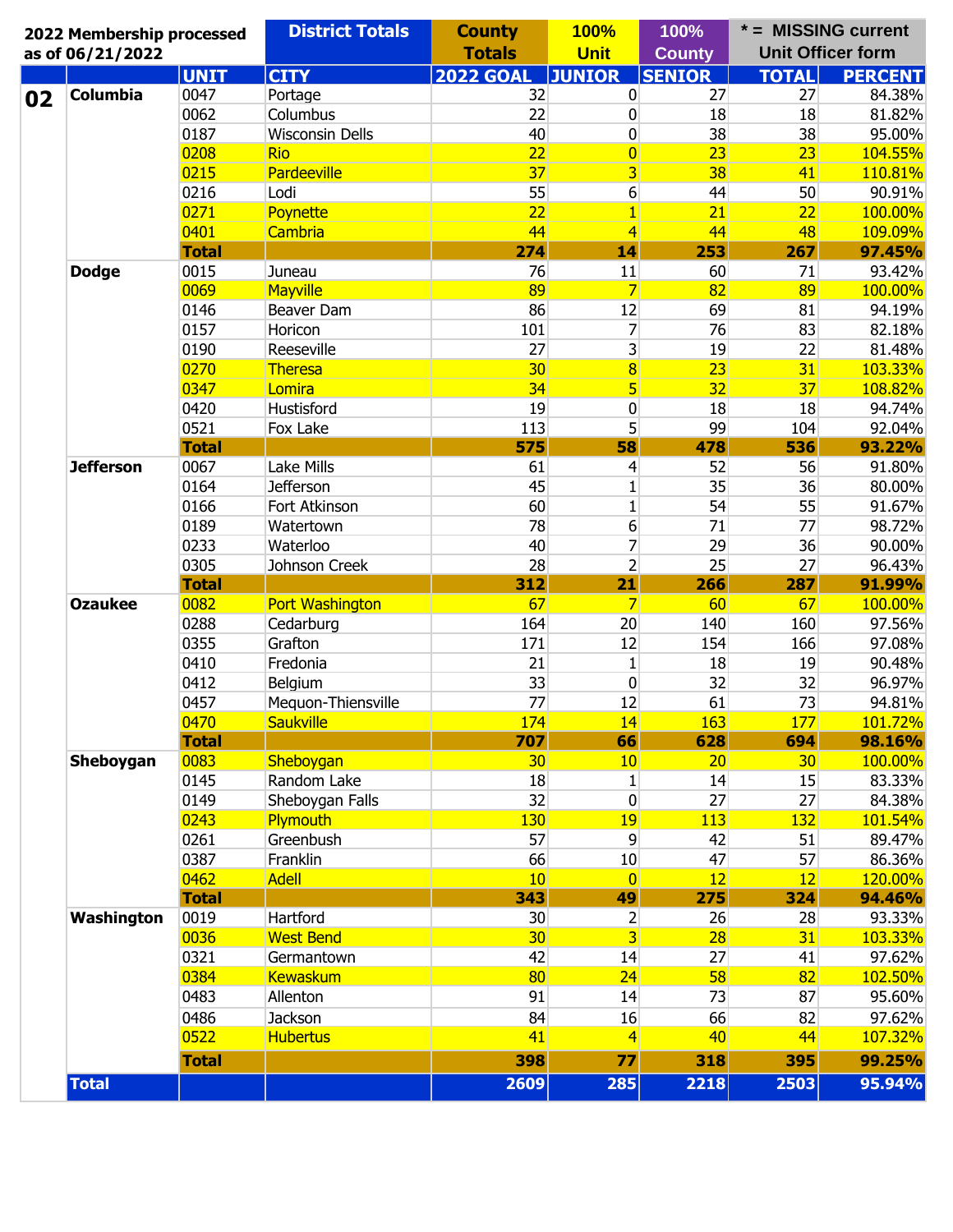| 2022 Membership processed |              | <b>District Totals</b> | <b>County</b>    | <b>100%</b><br><b>Unit</b> | 100%          | * = MISSING current | <b>Unit Officer form</b> |
|---------------------------|--------------|------------------------|------------------|----------------------------|---------------|---------------------|--------------------------|
| as of 06/21/2022          |              |                        | <b>Totals</b>    |                            | <b>County</b> |                     |                          |
|                           | <b>UNIT</b>  | <b>CITY</b>            | <b>2022 GOAL</b> | <b>JUNIOR</b>              | <b>SENIOR</b> | <b>TOTAL</b>        | <b>PERCENT</b>           |
| <b>Columbia</b>           | 0047         | Portage                | 32               | $\bf{0}$                   | 27            | 27                  | 84.38%                   |
|                           | 0062         | Columbus               | 22               | 0                          | 18            | 18                  | 81.82%                   |
|                           | 0187         | <b>Wisconsin Dells</b> | 40               | 0                          | 38            | 38                  | 95.00%                   |
|                           | 0208         | <b>Rio</b>             | 22               | $\overline{0}$             | 23            | 23                  | 104.55%                  |
|                           | 0215         | Pardeeville            | 37               | 3 <sup>1</sup>             | 38            | 41                  | 110.81%                  |
|                           | 0216         | Lodi                   | 55               | 6                          | 44            | 50                  | 90.91%                   |
|                           | 0271         | Poynette               | 22               | $\mathbf{1}$               | 21            | 22                  | 100.00%                  |
|                           | 0401         | <b>Cambria</b>         | 44               | $\overline{4}$             | 44            | 48                  | 109.09%                  |
|                           | <b>Total</b> |                        | 274              | 14                         | 253           | 267                 | 97.45%                   |
| <b>Dodge</b>              | 0015         | Juneau                 | 76               | 11                         | 60            | 71                  | 93.42%                   |
|                           | 0069         | Mayville               | 89               | $\overline{7}$             | 82            | 89                  | 100.00%                  |
|                           | 0146         | Beaver Dam             | 86               | 12                         | 69            | 81                  | 94.19%                   |
|                           | 0157         | Horicon                | 101              | 7                          | 76            | 83                  | 82.18%                   |
|                           | 0190         | Reeseville             | 27               | $\overline{\mathbf{3}}$    | 19            | 22                  | 81.48%                   |
|                           | 0270         | Theresa                | 30 <sub>2</sub>  | 8                          | 23            | 31                  | 103.33%                  |
|                           | 0347         | Lomira                 | 34               | $\vert 5 \vert$            | 32            | 37                  | 108.82%                  |
|                           | 0420         | Hustisford             | 19               | $\bf{0}$                   | 18            | 18                  | 94.74%                   |
|                           | 0521         | Fox Lake               | 113              | 5                          | 99            | 104                 | 92.04%                   |
|                           | <b>Total</b> |                        | 575              | 58                         | 478           | 536                 | 93.22%                   |
| <b>Jefferson</b>          | 0067         | Lake Mills             | 61               | 4                          | 52            | 56                  | 91.80%                   |
|                           | 0164         | <b>Jefferson</b>       | 45               | $\mathbf{1}$               | 35            | 36                  | 80.00%                   |
|                           | 0166         | Fort Atkinson          | 60               | $\mathbf{1}$               | 54            | 55                  | 91.67%                   |
|                           | 0189         | Watertown              | 78               | 6                          | 71            | 77                  | 98.72%                   |
|                           | 0233         | Waterloo               | 40               | $\overline{7}$             | 29            | 36                  | 90.00%                   |
|                           | 0305         | Johnson Creek          | 28               | $\overline{2}$             | 25            | 27                  | 96.43%                   |
|                           | <b>Total</b> |                        | 312              | 21                         | 266           | 287                 | 91.99%                   |
| <b>Ozaukee</b>            | 0082         | <b>Port Washington</b> | 67               | $\overline{7}$             | 60            | 67                  | 100.00%                  |
|                           | 0288         | Cedarburg              | 164              | 20                         | 140           | 160                 | 97.56%                   |
|                           | 0355         | Grafton                | 171              | 12                         | 154           | 166                 | 97.08%                   |
|                           | 0410         | Fredonia               | 21               | $\mathbf{1}$               | 18            | 19                  | 90.48%                   |
|                           | 0412         | Belgium                | 33               | 0                          | 32            | 32                  | 96.97%                   |
|                           | 0457         | Mequon-Thiensville     | 77               | 12                         | 61            | 73                  | 94.81%                   |
|                           |              |                        | 174              | 14                         | 163           | 177                 |                          |
|                           | 0470         | <b>Saukville</b>       |                  |                            |               |                     | 101.72%                  |
|                           | <b>Total</b> |                        | 707              | 66                         | 628           | 694                 | 98.16%                   |
| Sheboygan                 | 0083         | Sheboygan              | 30 <sub>2</sub>  | 10                         | 20            | 30 <sub>2</sub>     | 100.00%                  |
|                           | 0145         | Random Lake            | 18               | 1                          | 14            | 15                  | 83.33%                   |
|                           | 0149         | Sheboygan Falls        | 32               | 0                          | 27            | 27                  | 84.38%                   |
|                           | 0243         | Plymouth               | 130              | 19                         | 113           | 132                 | 101.54%                  |
|                           | 0261         | Greenbush              | 57               | 9                          | 42            | 51                  | 89.47%                   |
|                           | 0387         | Franklin               | 66               | 10                         | 47            | 57                  | 86.36%                   |
|                           | 0462         | <b>Adell</b>           | 10 <sup>°</sup>  | $\overline{0}$             | 12            | 12                  | 120.00%                  |
|                           | <b>Total</b> |                        | 343              | 49                         | 275           | 324                 | 94.46%                   |
| Washington                | 0019         | Hartford               | 30               | $\overline{2}$             | 26            | 28                  | 93.33%                   |
|                           | 0036         | <b>West Bend</b>       | 30 <sup>2</sup>  | $\overline{3}$             | 28            | 31                  | 103.33%                  |
|                           | 0321         | Germantown             | 42               | 14                         | 27            | 41                  | 97.62%                   |
|                           | 0384         | <b>Kewaskum</b>        | 80               | 24                         | 58            | 82                  | 102.50%                  |
|                           | 0483         | Allenton               | 91               | 14                         | 73            | 87                  | 95.60%                   |
|                           | 0486         | Jackson                | 84               | 16                         | 66            | 82                  | 97.62%                   |
|                           | 0522         | <b>Hubertus</b>        | 41               | $\vert 4 \vert$            | 40            | 44                  | 107.32%                  |
|                           | <b>Total</b> |                        | 398              | 77                         | 318           | 395                 | 99.25%                   |
|                           |              |                        |                  |                            |               |                     |                          |
| <b>Total</b>              |              |                        | 2609             | 285                        | 2218          | 2503                | 95.94%                   |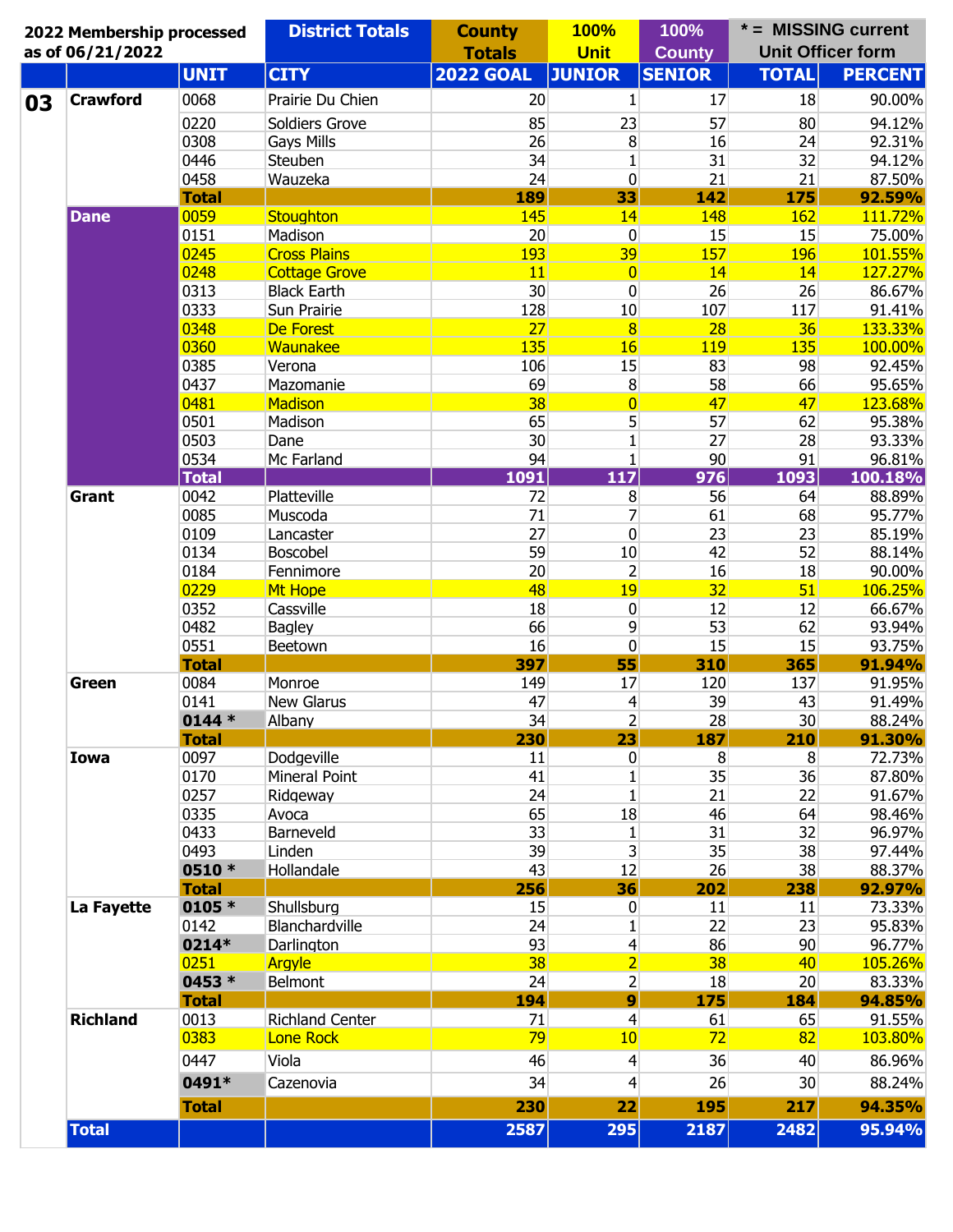| 2022 Membership processed<br>as of 06/21/2022 |              | <b>District Totals</b> | <b>County</b><br><b>Totals</b> | <b>100%</b><br><b>Unit</b> | 100%<br><b>County</b> | * = MISSING current<br><b>Unit Officer form</b> |                |
|-----------------------------------------------|--------------|------------------------|--------------------------------|----------------------------|-----------------------|-------------------------------------------------|----------------|
|                                               | <b>UNIT</b>  | <b>CITY</b>            | <b>2022 GOAL</b>               | <b>JUNIOR</b>              | <b>SENIOR</b>         | <b>TOTAL</b>                                    | <b>PERCENT</b> |
| <b>Crawford</b>                               | 0068         | Prairie Du Chien       | 20                             | 1                          | 17                    | 18                                              | 90.00%         |
|                                               | 0220         | Soldiers Grove         | 85                             | 23                         | 57                    | 80                                              | 94.12%         |
|                                               | 0308         | Gays Mills             | 26                             | 8                          | 16                    | 24                                              | 92.31%         |
|                                               | 0446         | Steuben                | 34                             | $\mathbf{1}$               | 31                    | 32                                              | 94.12%         |
|                                               | 0458         | Wauzeka                | 24                             | 0                          | 21                    | 21                                              | 87.50%         |
|                                               | <b>Total</b> |                        | 189                            | 33                         | 142                   | 175                                             | 92.59%         |
| <b>Dane</b>                                   | 0059         | Stoughton              | 145                            | 14                         | 148                   | 162                                             | 111.72%        |
|                                               | 0151         | Madison                | 20                             | $\overline{0}$             | 15                    | 15                                              | 75.00%         |
|                                               | 0245         | <b>Cross Plains</b>    | 193                            | 39                         | 157                   | <b>196</b>                                      | 101.55%        |
|                                               | 0248         | <b>Cottage Grove</b>   | 11                             | $\overline{0}$             | 14                    | 14                                              | 127.27%        |
|                                               | 0313         | <b>Black Earth</b>     | 30                             | 0                          | 26                    | 26                                              | 86.67%         |
|                                               | 0333         | Sun Prairie            | 128                            | 10                         | 107                   | 117                                             | 91.41%         |
|                                               | 0348         | De Forest              | 27                             | $\overline{8}$             | 28                    | 36                                              | 133.33%        |
|                                               | 0360         | Waunakee               | 135                            | 16                         | <b>119</b>            | 135                                             | 100.00%        |
|                                               | 0385         | Verona                 | 106                            | 15                         | 83                    | 98                                              | 92.45%         |
|                                               | 0437         | Mazomanie              | 69                             | 8                          | 58                    | 66                                              | 95.65%         |
|                                               | 0481         | <b>Madison</b>         | 38                             | $\overline{0}$             | 47                    | 47                                              | 123.68%        |
|                                               | 0501         | Madison                | 65                             | 5                          | 57                    | 62                                              | 95.38%         |
|                                               | 0503         | Dane                   | 30                             | $\mathbf{1}$               | 27                    | 28                                              | 93.33%         |
|                                               | 0534         | Mc Farland             | 94                             | $\mathbf{1}$               | 90                    | 91                                              | 96.81%         |
|                                               | <b>Total</b> |                        | 1091                           | 117                        | $\overline{976}$      | 1093                                            | 100.18%        |
| Grant                                         | 0042         | Platteville            | 72                             | 8                          | 56                    | 64                                              | 88.89%         |
|                                               | 0085         | Muscoda                | 71                             | 7                          | 61                    | 68                                              | 95.77%         |
|                                               | 0109         | Lancaster              | 27                             | 0                          | 23                    | 23                                              | 85.19%         |
|                                               | 0134         | Boscobel               | 59                             | 10                         | 42                    | 52                                              | 88.14%         |
|                                               | 0184         | Fennimore              | 20                             | $\overline{2}$             | 16                    | 18                                              | 90.00%         |
|                                               | 0229         | Mt Hope                | 48                             | 19                         | 32                    | 51                                              | 106.25%        |
|                                               | 0352         | Cassville              | 18                             | 0                          | 12                    | 12                                              | 66.67%         |
|                                               | 0482         | <b>Bagley</b>          | 66                             | 9                          | 53                    | 62                                              | 93.94%         |
|                                               | 0551         | Beetown                | 16                             | 0                          | 15                    | 15                                              | 93.75%         |
|                                               | <b>Total</b> |                        | 397                            | 55                         | 310                   | 365                                             | 91.94%         |
| Green                                         | 0084         | Monroe                 | 149                            | 17                         | 120                   | 137                                             | 91.95%         |
|                                               | 0141         | <b>New Glarus</b>      | 47                             | $\overline{4}$             | 39                    | 43                                              | 91.49%         |
|                                               | $0144*$      | Albany                 | 34                             | $\overline{2}$             | 28                    | 30                                              | 88.24%         |
|                                               | <b>Total</b> |                        | 230                            | 23                         | 187                   | 210                                             | 91.30%         |
| <b>Iowa</b>                                   | 0097         | Dodgeville             | 11                             | 0                          | 8                     | 8                                               | 72.73%         |
|                                               | 0170         | Mineral Point          | 41                             | $\mathbf{1}$               | 35                    | 36                                              | 87.80%         |
|                                               | 0257         | Ridgeway               | 24                             | $\mathbf{1}$               | 21                    | 22                                              | 91.67%         |
|                                               | 0335         | Avoca                  | 65                             | 18                         | 46                    | 64                                              | 98.46%         |
|                                               | 0433         | Barneveld              | 33                             | $\mathbf{1}$               | 31                    | 32                                              | 96.97%         |
|                                               | 0493         | Linden                 | 39                             | $\overline{3}$             | 35                    | 38                                              | 97.44%         |
|                                               | 0510 *       | Hollandale             | 43                             | 12                         | 26                    | 38                                              | 88.37%         |
|                                               | <b>Total</b> |                        | 256                            | 36                         | 202                   | 238                                             | 92.97%         |
| La Fayette                                    | 0105 *       | Shullsburg             | 15                             | $\boldsymbol{0}$           | 11                    | 11                                              | 73.33%         |
|                                               | 0142         | Blanchardville         | 24                             | $\mathbf{1}$               | 22                    | 23                                              | 95.83%         |
|                                               | 0214*        | Darlington             | 93                             | $\overline{4}$             | 86                    | 90                                              | 96.77%         |
|                                               | 0251         | Argyle                 | 38                             | $\overline{2}$             | 38                    | 40                                              | 105.26%        |
|                                               | 0453 *       | Belmont                | 24                             | $\overline{2}$             | 18                    | 20                                              | 83.33%         |
|                                               | <b>Total</b> |                        | 194                            | $\overline{9}$             | 175                   | 184                                             | 94.85%         |
| <b>Richland</b>                               | 0013         | <b>Richland Center</b> | 71                             | $\overline{4}$             | 61                    | 65                                              | 91.55%         |
|                                               | 0383         | <b>Lone Rock</b>       | 79                             | 10 <sub>1</sub>            | 72                    | 82                                              | 103.80%        |
|                                               |              |                        |                                |                            |                       |                                                 |                |
|                                               | 0447         | Viola                  | 46                             | $\vert 4 \vert$            | 36                    | 40                                              | 86.96%         |
|                                               | 0491*        | Cazenovia              | 34                             | $\overline{4}$             | 26                    | 30                                              | 88.24%         |
|                                               | <b>Total</b> |                        | 230                            | 22                         | 195                   | 217                                             | 94.35%         |
| <b>Total</b>                                  |              |                        | 2587                           | 295                        | 2187                  | 2482                                            | 95.94%         |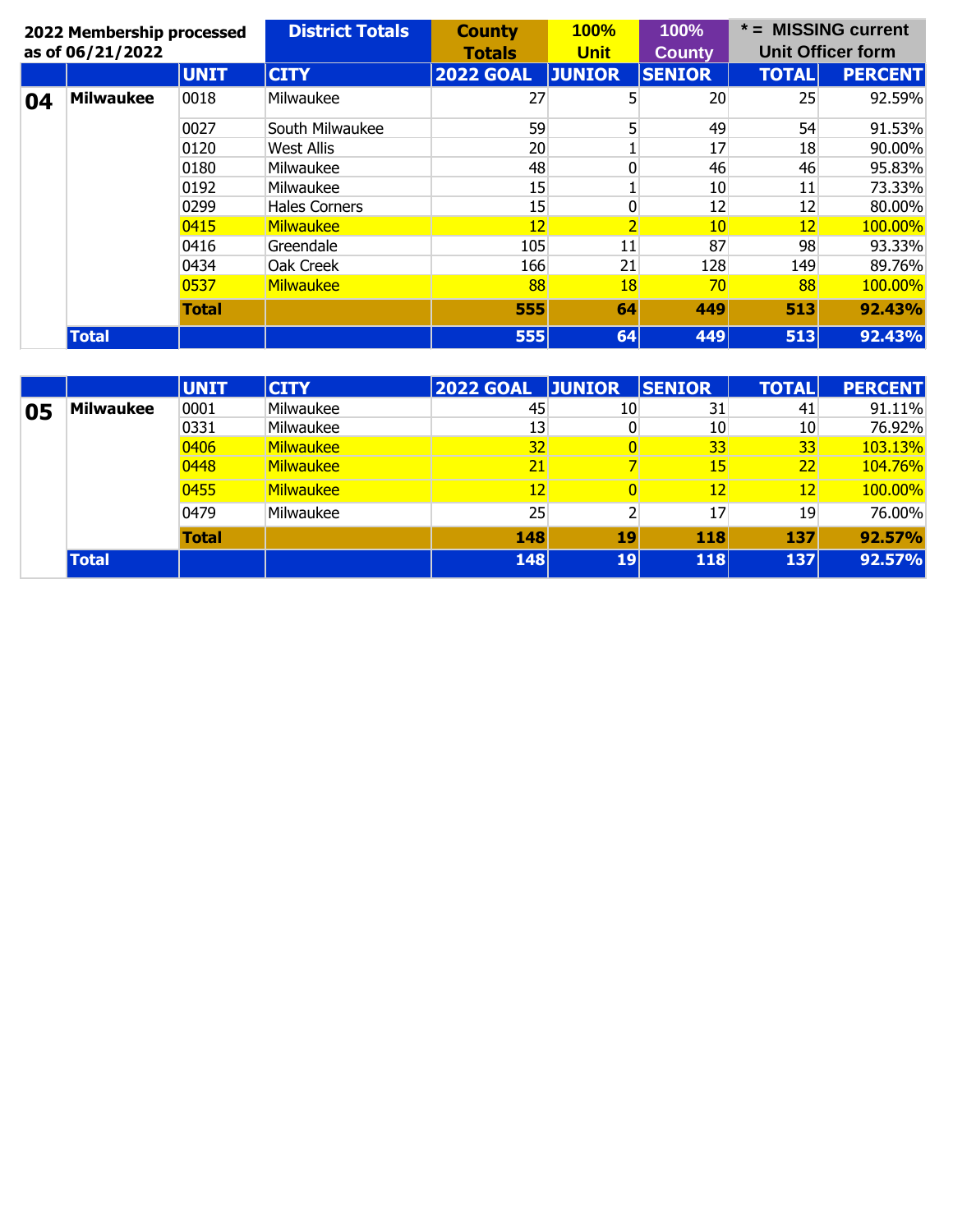|    | 2022 Membership processed |              | <b>District Totals</b> | <b>County</b>                | <b>100%</b>    | 100%          |                   | $* =$ MISSING current    |  |
|----|---------------------------|--------------|------------------------|------------------------------|----------------|---------------|-------------------|--------------------------|--|
|    | as of 06/21/2022          |              |                        | <b>Unit</b><br><b>Totals</b> |                | <b>County</b> |                   | <b>Unit Officer form</b> |  |
|    |                           | <b>UNIT</b>  | <b>CITY</b>            | <b>2022 GOAL</b>             | <b>JUNIOR</b>  | <b>SENIOR</b> | <b>TOTAL</b>      | <b>PERCENT</b>           |  |
| 04 | <b>Milwaukee</b>          | 0018         | Milwaukee              | 27                           | 5              | 20            | 25                | 92.59%                   |  |
|    |                           | 0027         | South Milwaukee        | 59                           | 5 <sub>1</sub> | 49            | 54                | 91.53%                   |  |
|    |                           | 0120         | West Allis             | 20                           |                | 17            | 18                | 90.00%                   |  |
|    |                           | 0180         | Milwaukee              | 48                           | 0              | 46            | 46                | 95.83%                   |  |
|    |                           | 0192         | Milwaukee              | 15                           |                | 10            | 11                | 73.33%                   |  |
|    |                           | 0299         | <b>Hales Corners</b>   | 15                           | 0              | 12            | 12                | 80.00%                   |  |
|    |                           | 0415         | <b>Milwaukee</b>       | $12 \overline{ }$            | $\overline{2}$ | 10            | $12 \overline{ }$ | 100.00%                  |  |
|    |                           | 0416         | Greendale              | 105                          | 11             | 87            | 98                | 93.33%                   |  |
|    |                           | 0434         | Oak Creek              | 166                          | 21             | 128           | 149               | 89.76%                   |  |
|    |                           | 0537         | <b>Milwaukee</b>       | 88                           | 18             | 70            | 88                | 100.00%                  |  |
|    |                           | <b>Total</b> |                        | 555                          | 64             | 449           | 513               | 92.43%                   |  |
|    | <b>Total</b>              |              |                        | 555                          | 64             | 449           | 513               | 92.43%                   |  |

|    |                  | <b>UNIT</b>  | <b>CITY</b>      | <b>2022 GOAL</b> | <b>JUNIOR</b>   | <b>SENIOR</b> | <b>TOTAL</b>    | <b>PERCENT</b> |
|----|------------------|--------------|------------------|------------------|-----------------|---------------|-----------------|----------------|
| 05 | <b>Milwaukee</b> | 0001         | Milwaukee        | 45               | 10              | 31            | 41              | 91.11%         |
|    |                  | 0331         | Milwaukee        | 13               | 0               | 10            | 10              | 76.92%         |
|    |                  | 0406         | Milwaukee        | 32               |                 | 33            | 33 <sup>°</sup> | 103.13%        |
|    |                  | 0448         | <b>Milwaukee</b> | 21               |                 | 15            | 22              | 104.76%        |
|    |                  | 0455         | Milwaukee        | 12               |                 | 12            | 12 <sub>2</sub> | 100.00%        |
|    |                  | 0479         | Milwaukee        | 25               |                 | 17            | 19              | 76.00%         |
|    |                  | <b>Total</b> |                  | 148              | 19              | 118           | 137             | 92.57%         |
|    | <b>Total</b>     |              |                  | <b>148</b>       | 19 <sup>1</sup> | 118           | 137             | 92.57%         |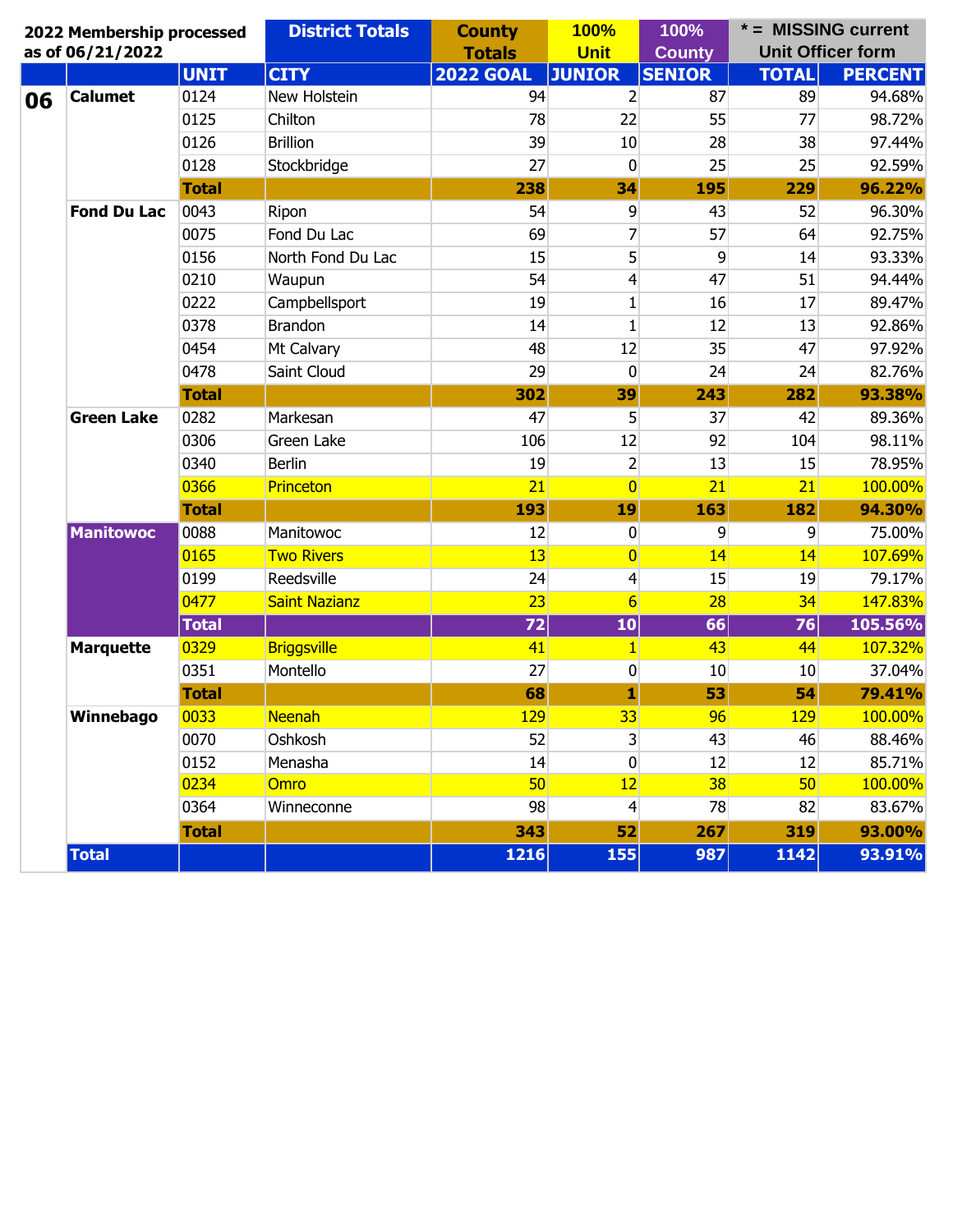|    | 2022 Membership processed<br>as of 06/21/2022 |              | <b>District Totals</b> | <b>County</b><br><b>Totals</b> | <b>100%</b><br><b>Unit</b> | 100%<br><b>County</b> | $* =$ MISSING current<br><b>Unit Officer form</b> |                |
|----|-----------------------------------------------|--------------|------------------------|--------------------------------|----------------------------|-----------------------|---------------------------------------------------|----------------|
|    |                                               | <b>UNIT</b>  | <b>CITY</b>            | <b>2022 GOAL</b>               | <b>JUNIOR</b>              | <b>SENIOR</b>         | <b>TOTAL</b>                                      | <b>PERCENT</b> |
| 06 | <b>Calumet</b>                                | 0124         | New Holstein           | 94                             | 2                          | 87                    | 89                                                | 94.68%         |
|    |                                               | 0125         | Chilton                | 78                             | 22                         | 55                    | 77                                                | 98.72%         |
|    |                                               | 0126         | <b>Brillion</b>        | 39                             | 10                         | 28                    | 38                                                | 97.44%         |
|    |                                               | 0128         | Stockbridge            | 27                             | 0                          | 25                    | 25                                                | 92.59%         |
|    |                                               | <b>Total</b> |                        | 238                            | 34                         | 195                   | 229                                               | 96.22%         |
|    | <b>Fond Du Lac</b>                            | 0043         | Ripon                  | 54                             | 9                          | 43                    | 52                                                | 96.30%         |
|    |                                               | 0075         | Fond Du Lac            | 69                             | 7                          | 57                    | 64                                                | 92.75%         |
|    |                                               | 0156         | North Fond Du Lac      | 15                             | 5                          | 9                     | 14                                                | 93.33%         |
|    |                                               | 0210         | Waupun                 | 54                             | 4                          | 47                    | 51                                                | 94.44%         |
|    |                                               | 0222         | Campbellsport          | 19                             | $\mathbf{1}$               | 16                    | 17                                                | 89.47%         |
|    |                                               | 0378         | <b>Brandon</b>         | 14                             | $\mathbf{1}$               | 12                    | 13                                                | 92.86%         |
|    |                                               | 0454         | Mt Calvary             | 48                             | 12                         | 35                    | 47                                                | 97.92%         |
|    |                                               | 0478         | Saint Cloud            | 29                             | $\mathbf 0$                | 24                    | 24                                                | 82.76%         |
|    |                                               | <b>Total</b> |                        | 302                            | 39                         | 243                   | 282                                               | 93.38%         |
|    | <b>Green Lake</b>                             | 0282         | Markesan               | 47                             | 5                          | 37                    | 42                                                | 89.36%         |
|    |                                               | 0306         | Green Lake             | 106                            | 12                         | 92                    | 104                                               | 98.11%         |
|    |                                               | 0340         | <b>Berlin</b>          | 19                             | $\overline{2}$             | 13                    | 15                                                | 78.95%         |
|    |                                               | 0366         | <b>Princeton</b>       | 21                             | $\overline{0}$             | 21                    | 21                                                | 100.00%        |
|    |                                               | <b>Total</b> |                        | 193                            | 19                         | 163                   | 182                                               | 94.30%         |
|    | <b>Manitowoc</b>                              | 0088         | Manitowoc              | 12                             | $\bf{0}$                   | 9                     | 9                                                 | 75.00%         |
|    |                                               | 0165         | <b>Two Rivers</b>      | 13                             | $\overline{0}$             | 14                    | 14                                                | 107.69%        |
|    |                                               | 0199         | Reedsville             | 24                             | 4                          | 15                    | 19                                                | 79.17%         |
|    |                                               | 0477         | <b>Saint Nazianz</b>   | 23                             | $6 \overline{}$            | 28                    | 34                                                | 147.83%        |
|    |                                               | <b>Total</b> |                        | 72                             | 10                         | 66                    | 76                                                | 105.56%        |
|    | <b>Marquette</b>                              | 0329         | <b>Briggsville</b>     | 41                             | $\mathbf{1}$               | 43                    | 44                                                | 107.32%        |
|    |                                               | 0351         | Montello               | 27                             | $\bf{0}$                   | 10                    | 10                                                | 37.04%         |
|    |                                               | <b>Total</b> |                        | 68                             | 1                          | 53                    | 54                                                | 79.41%         |
|    | Winnebago                                     | 0033         | Neenah                 | <b>129</b>                     | 33                         | 96                    | <b>129</b>                                        | 100.00%        |
|    |                                               | 0070         | Oshkosh                | 52                             | 3 <sup>1</sup>             | 43                    | 46                                                | 88.46%         |
|    |                                               | 0152         | Menasha                | 14                             | $\overline{0}$             | 12                    | 12                                                | 85.71%         |
|    |                                               | 0234         | <b>Omro</b>            | 50                             | 12                         | 38                    | 50                                                | 100.00%        |
|    |                                               | 0364         | Winneconne             | 98                             | $\overline{4}$             | 78                    | 82                                                | 83.67%         |
|    |                                               | <b>Total</b> |                        | 343                            | 52                         | 267                   | 319                                               | 93.00%         |
|    | <b>Total</b>                                  |              |                        | 1216                           | 155                        | 987                   | 1142                                              | 93.91%         |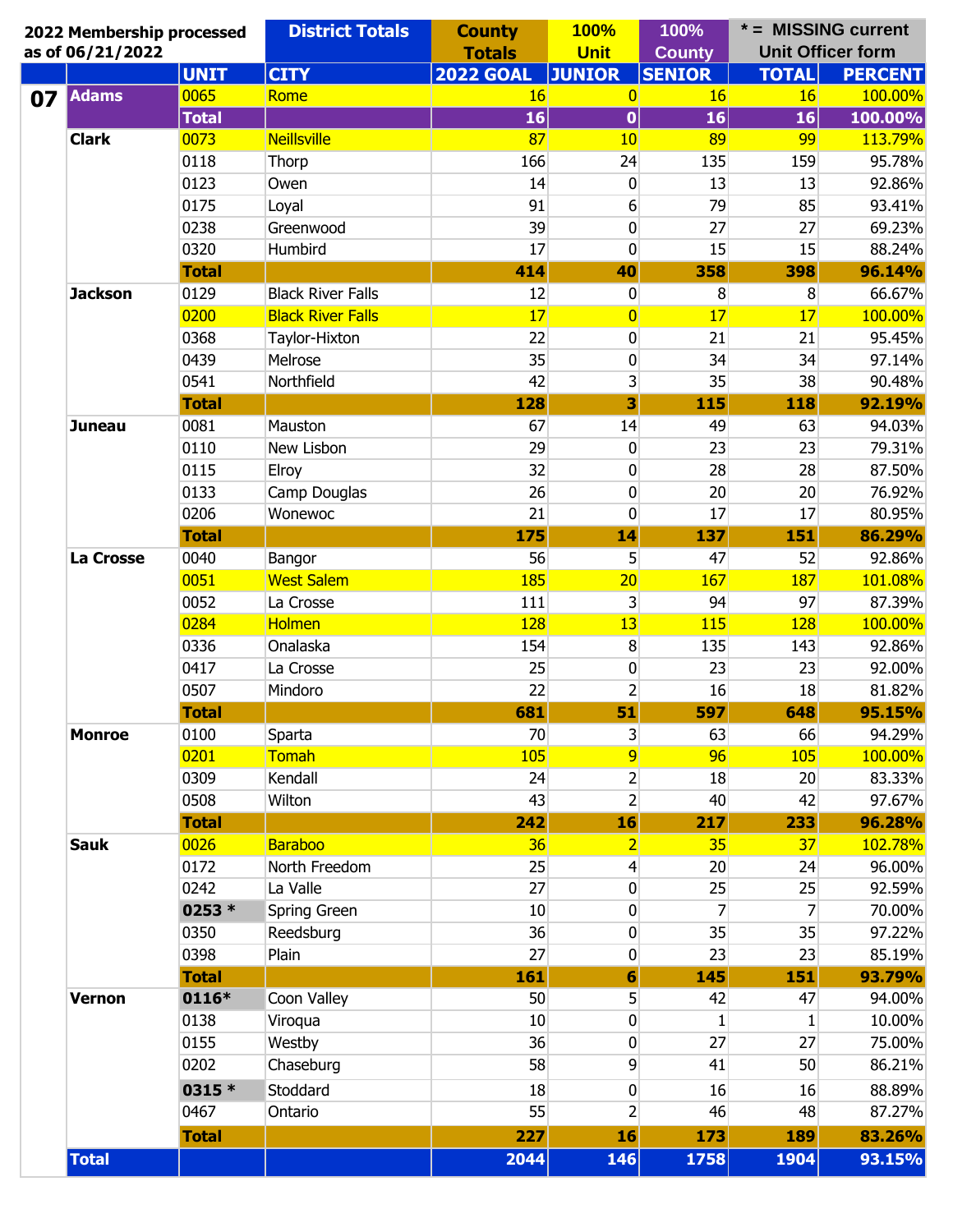|                                                                                                                                  | 2022 Membership processed | <b>District Totals</b>   | <b>County</b><br><b>Totals</b> | <b>100%</b><br><b>Unit</b> | 100%<br><b>County</b> |                | * = MISSING current<br><b>Unit Officer form</b> |
|----------------------------------------------------------------------------------------------------------------------------------|---------------------------|--------------------------|--------------------------------|----------------------------|-----------------------|----------------|-------------------------------------------------|
|                                                                                                                                  | <b>UNIT</b>               | <b>CITY</b>              | <b>2022 GOAL</b>               | <b>JUNIOR</b>              | <b>SENIOR</b>         | <b>TOTAL</b>   | <b>PERCENT</b>                                  |
|                                                                                                                                  | 0065                      | Rome                     | <b>16</b>                      | $\overline{0}$             | 16                    | 16             | 100.00%                                         |
|                                                                                                                                  | <b>Total</b>              |                          | 16                             | $\bf{0}$                   | 16                    | 16             | 100.00%                                         |
| as of 06/21/2022<br><b>Adams</b><br><b>Clark</b><br><b>Jackson</b><br><b>Juneau</b><br>La Crosse<br><b>Monroe</b><br><b>Sauk</b> | 0073                      | <b>Neillsville</b>       | 87                             | 10                         | 89                    | 99             | 113.79%                                         |
|                                                                                                                                  | 0118                      | Thorp                    | 166                            | 24                         | 135                   | 159            | 95.78%                                          |
|                                                                                                                                  | 0123                      | Owen                     | 14                             | 0                          | 13                    | 13             | 92.86%                                          |
|                                                                                                                                  | 0175                      | Loyal                    | 91                             | 6                          | 79                    | 85             | 93.41%                                          |
|                                                                                                                                  | 0238                      | Greenwood                | 39                             | 0                          | 27                    | 27             | 69.23%                                          |
|                                                                                                                                  | 0320                      | Humbird                  | 17                             | 0                          | 15                    | 15             | 88.24%                                          |
|                                                                                                                                  | <b>Total</b>              |                          | 414                            | 40                         | 358                   | 398            | 96.14%                                          |
|                                                                                                                                  | 0129                      | <b>Black River Falls</b> | 12                             | 0                          | 8                     | 8              | 66.67%                                          |
|                                                                                                                                  | 0200                      | <b>Black River Falls</b> | 17                             | $\overline{0}$             | 17                    | 17             | 100.00%                                         |
|                                                                                                                                  | 0368                      | Taylor-Hixton            | 22                             | 0                          | 21                    | 21             | 95.45%                                          |
|                                                                                                                                  | 0439                      | Melrose                  | 35                             | 0                          | 34                    | 34             | 97.14%                                          |
|                                                                                                                                  | 0541                      | Northfield               | 42                             | 3                          | 35                    | 38             | 90.48%                                          |
|                                                                                                                                  | <b>Total</b>              |                          | 128                            | 3                          | 115                   | 118            | 92.19%                                          |
|                                                                                                                                  | 0081                      | Mauston                  | 67                             | 14                         | 49                    | 63             | 94.03%                                          |
|                                                                                                                                  | 0110                      | New Lisbon               | 29                             | 0                          | 23                    | 23             | 79.31%                                          |
|                                                                                                                                  | 0115                      | Elroy                    | 32                             | 0                          | 28                    | 28             | 87.50%                                          |
|                                                                                                                                  | 0133                      | Camp Douglas             | 26                             | 0                          | 20                    | 20             | 76.92%                                          |
|                                                                                                                                  | 0206                      | Wonewoc                  | 21                             | 0                          | 17                    | 17             | 80.95%                                          |
|                                                                                                                                  | <b>Total</b>              |                          | 175                            | 14                         | 137                   | 151            | 86.29%                                          |
|                                                                                                                                  | 0040                      | Bangor                   | 56                             | 5                          | 47                    | 52             | 92.86%                                          |
|                                                                                                                                  | 0051                      | <b>West Salem</b>        | 185                            | 20                         | 167                   | 187            | 101.08%                                         |
|                                                                                                                                  | 0052                      | La Crosse                | 111                            | 3                          | 94                    | 97             | 87.39%                                          |
|                                                                                                                                  | 0284                      | <b>Holmen</b>            | 128                            | 13                         | 115                   | 128            | 100.00%                                         |
|                                                                                                                                  | 0336                      | Onalaska                 | 154                            | 8                          | 135                   | 143            | 92.86%                                          |
|                                                                                                                                  | 0417                      | La Crosse                | 25                             | 0                          | 23                    | 23             | 92.00%                                          |
|                                                                                                                                  | 0507                      | Mindoro                  | 22                             | $\overline{2}$             | 16                    | 18             | 81.82%                                          |
|                                                                                                                                  | <b>Total</b>              |                          | 681                            | 51                         | 597                   | 648            | 95.15%                                          |
|                                                                                                                                  | 0100                      | Sparta                   | 70                             | $\mathsf{3}$               | 63                    | 66             | 94.29%                                          |
|                                                                                                                                  | 0201                      | Tomah                    | 105                            | 9                          | 96                    | 105            | 100.00%                                         |
|                                                                                                                                  | 0309                      | Kendall                  | 24                             | $\mathbf{2}$               | 18                    | 20             | 83.33%                                          |
|                                                                                                                                  | 0508                      | Wilton                   | 43                             | $\overline{2}$             | 40                    | 42             | 97.67%                                          |
|                                                                                                                                  | <b>Total</b>              |                          | 242                            | 16                         | 217                   | 233            | 96.28%                                          |
|                                                                                                                                  | 0026                      | <b>Baraboo</b>           | 36                             | $\overline{2}$             | 35                    | 37             | 102.78%                                         |
|                                                                                                                                  | 0172                      | North Freedom            | 25                             | $\overline{4}$             | 20                    | 24             | 96.00%                                          |
|                                                                                                                                  | 0242                      | La Valle                 | 27                             | 0                          | 25                    | 25             | 92.59%                                          |
|                                                                                                                                  | 0253 *                    | Spring Green             | 10                             | 0                          | 7                     | $\overline{7}$ | 70.00%                                          |
|                                                                                                                                  | 0350                      | Reedsburg                | 36                             | 0                          | 35                    | 35             | 97.22%                                          |
|                                                                                                                                  | 0398                      | Plain                    | 27                             | 0                          | 23                    | 23             | 85.19%                                          |
|                                                                                                                                  | <b>Total</b>              |                          | 161                            | $\boldsymbol{6}$           | 145                   | 151            | 93.79%                                          |
| <b>Vernon</b>                                                                                                                    | 0116*                     | Coon Valley              | 50                             | 5                          | 42                    | 47             | 94.00%                                          |
|                                                                                                                                  | 0138                      | Viroqua                  | 10                             | 0                          | $\mathbf{1}$          | 1              | 10.00%                                          |
|                                                                                                                                  | 0155                      | Westby                   | 36                             | 0                          | 27                    | 27             | 75.00%                                          |
|                                                                                                                                  | 0202                      | Chaseburg                | 58                             | 9                          | 41                    | 50             | 86.21%                                          |
|                                                                                                                                  |                           |                          |                                |                            |                       |                |                                                 |
|                                                                                                                                  | 0315 *                    | Stoddard                 | 18                             | 0                          | 16                    | 16             | 88.89%                                          |
|                                                                                                                                  | 0467                      | Ontario                  | 55                             | 2                          | 46                    | 48             | 87.27%                                          |
|                                                                                                                                  | <b>Total</b>              |                          | 227                            | 16                         | 173                   | <b>189</b>     | 83.26%                                          |
| <b>Total</b>                                                                                                                     |                           |                          | 2044                           | 146                        | 1758                  | 1904           | 93.15%                                          |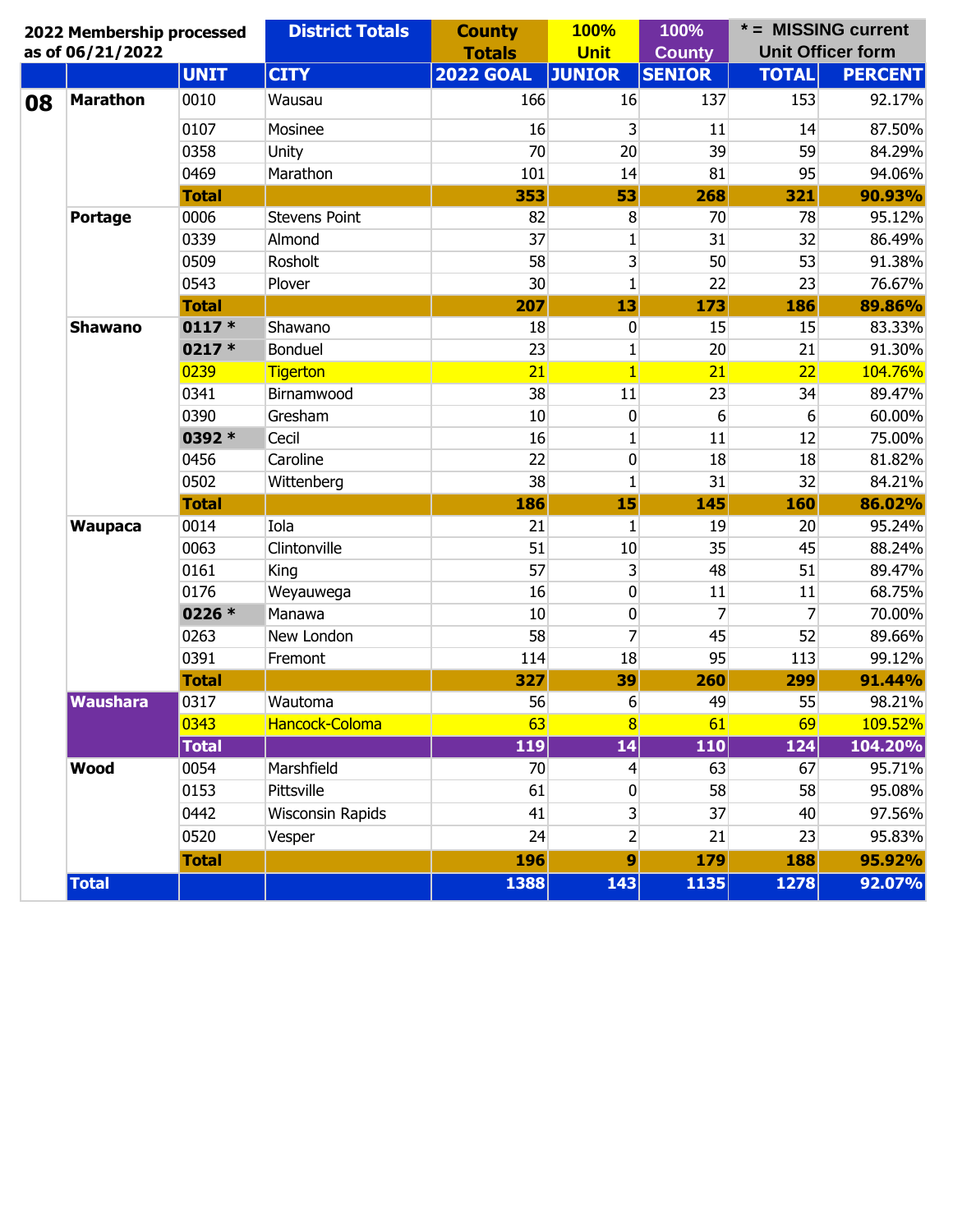|    | 2022 Membership processed<br>as of 06/21/2022 |              | <b>District Totals</b> | <b>County</b><br><b>Totals</b> | <b>100%</b><br><b>Unit</b> | 100%<br><b>County</b> | * = MISSING current<br><b>Unit Officer form</b> |                |  |
|----|-----------------------------------------------|--------------|------------------------|--------------------------------|----------------------------|-----------------------|-------------------------------------------------|----------------|--|
|    |                                               | <b>UNIT</b>  | <b>CITY</b>            | <b>2022 GOAL</b>               | <b>JUNIOR</b>              | <b>SENIOR</b>         | <b>TOTAL</b>                                    | <b>PERCENT</b> |  |
| 08 | <b>Marathon</b>                               | 0010         | Wausau                 | 166                            | 16                         | 137                   | 153                                             | 92.17%         |  |
|    |                                               | 0107         | Mosinee                | 16                             | 3                          | 11                    | 14                                              | 87.50%         |  |
|    |                                               | 0358         | Unity                  | 70                             | 20                         | 39                    | 59                                              | 84.29%         |  |
|    |                                               | 0469         | Marathon               | 101                            | 14                         | 81                    | 95                                              | 94.06%         |  |
|    |                                               | <b>Total</b> |                        | 353                            | 53                         | 268                   | 321                                             | 90.93%         |  |
|    | <b>Portage</b>                                | 0006         | <b>Stevens Point</b>   | 82                             | 8                          | 70                    | 78                                              | 95.12%         |  |
|    |                                               | 0339         | Almond                 | 37                             | 1                          | 31                    | 32                                              | 86.49%         |  |
|    |                                               | 0509         | Rosholt                | 58                             | $\overline{3}$             | 50                    | 53                                              | 91.38%         |  |
|    |                                               | 0543         | Plover                 | 30                             | $\mathbf{1}$               | 22                    | 23                                              | 76.67%         |  |
|    | <b>Shawano</b>                                | <b>Total</b> |                        | 207                            | 13                         | 173                   | 186                                             | 89.86%         |  |
|    |                                               | $0117 *$     | Shawano                | 18                             | $\bf{0}$                   | 15                    | 15                                              | 83.33%         |  |
|    |                                               | $0217*$      | Bonduel                | 23                             | 1                          | 20                    | 21                                              | 91.30%         |  |
|    |                                               | 0239         | <b>Tigerton</b>        | 21                             | $\vert$                    | 21                    | 22                                              | 104.76%        |  |
|    |                                               | 0341         | Birnamwood             | 38                             | 11                         | 23                    | 34                                              | 89.47%         |  |
|    |                                               | 0390         | Gresham                | 10                             | $\bf{0}$                   | 6                     | 6                                               | 60.00%         |  |
|    |                                               | 0392 *       | Cecil                  | 16                             | $\mathbf{1}$               | 11                    | 12                                              | 75.00%         |  |
|    |                                               | 0456         | Caroline               | 22                             | $\bf{0}$                   | 18                    | 18                                              | 81.82%         |  |
|    |                                               | 0502         | Wittenberg             | 38                             | 1                          | 31                    | 32                                              | 84.21%         |  |
|    |                                               | <b>Total</b> |                        | 186                            | 15                         | 145                   | 160                                             | 86.02%         |  |
|    | <b>Waupaca</b>                                | 0014         | Iola                   | 21                             | 1                          | 19                    | 20                                              | 95.24%         |  |
|    |                                               | 0063         | Clintonville           | 51                             | 10                         | 35                    | 45                                              | 88.24%         |  |
|    |                                               | 0161         | King                   | 57                             | $\overline{3}$             | 48                    | 51                                              | 89.47%         |  |
|    |                                               | 0176         | Weyauwega              | 16                             | $\bf{0}$                   | 11                    | 11                                              | 68.75%         |  |
|    |                                               | 0226 *       | Manawa                 | 10                             | $\mathbf 0$                | 7                     | 7                                               | 70.00%         |  |
|    |                                               | 0263         | New London             | 58                             | $\overline{7}$             | 45                    | 52                                              | 89.66%         |  |
|    |                                               | 0391         | Fremont                | 114                            | 18                         | 95                    | 113                                             | 99.12%         |  |
|    |                                               | <b>Total</b> |                        | 327                            | 39                         | <b>260</b>            | 299                                             | 91.44%         |  |
|    | <b>Waushara</b>                               | 0317         | Wautoma                | 56                             | 6                          | 49                    | 55                                              | 98.21%         |  |
|    |                                               | 0343         | Hancock-Coloma         | 63                             | 8 <sup>1</sup>             | 61                    | 69                                              | 109.52%        |  |
|    |                                               | <b>Total</b> |                        | 119                            | 14                         | 110                   | 124                                             | 104.20%        |  |
|    | <b>Wood</b>                                   | 0054         | Marshfield             | 70                             | $\overline{4}$             | 63                    | 67                                              | 95.71%         |  |
|    |                                               | 0153         | Pittsville             | 61                             | $\bf{0}$                   | 58                    | 58                                              | 95.08%         |  |
|    |                                               | 0442         | Wisconsin Rapids       | 41                             | $\mathsf{3}$               | 37                    | 40                                              | 97.56%         |  |
|    |                                               | 0520         | Vesper                 | 24                             | $\overline{2}$             | 21                    | 23                                              | 95.83%         |  |
|    |                                               | <b>Total</b> |                        | 196                            | $\boldsymbol{9}$           | 179                   | 188                                             | 95.92%         |  |
|    | <b>Total</b>                                  |              |                        | 1388                           | 143                        | 1135                  | 1278                                            | 92.07%         |  |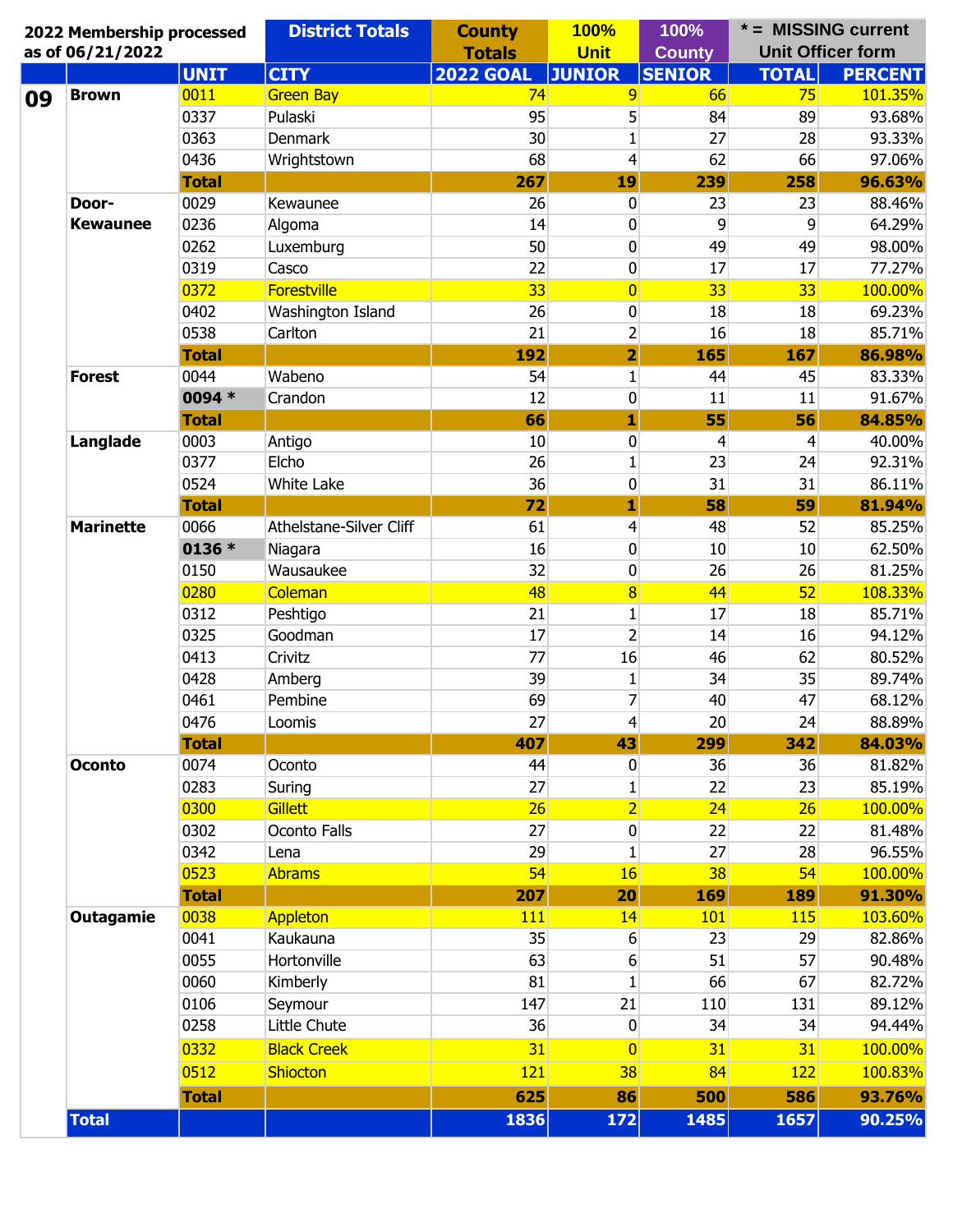| 2022 Membership processed<br>as of 06/21/2022 |              | <b>District Totals</b>  | <b>County</b><br><b>Totals</b> | <b>100%</b><br><b>Unit</b> | 100%<br><b>County</b> | * = MISSING current<br><b>Unit Officer form</b> |                |
|-----------------------------------------------|--------------|-------------------------|--------------------------------|----------------------------|-----------------------|-------------------------------------------------|----------------|
|                                               | <b>UNIT</b>  | <b>CITY</b>             | <b>2022 GOAL</b>               | <b>JUNIOR</b>              | <b>SENIOR</b>         | <b>TOTAL</b>                                    | <b>PERCENT</b> |
| <b>Brown</b>                                  | 0011         | <b>Green Bay</b>        | 74                             | 9                          | 66                    | 75                                              | 101.35%        |
|                                               | 0337         | Pulaski                 | 95                             | 5                          | 84                    | 89                                              | 93.68%         |
|                                               | 0363         | <b>Denmark</b>          | 30                             | $\mathbf{1}$               | 27                    | 28                                              | 93.33%         |
|                                               | 0436         | Wrightstown             | 68                             | $\overline{4}$             | 62                    | 66                                              | 97.06%         |
|                                               | <b>Total</b> |                         | 267                            | 19                         | 239                   | 258                                             | 96.63%         |
| Door-                                         | 0029         | Kewaunee                | 26                             | 0                          | 23                    | 23                                              | 88.46%         |
| <b>Kewaunee</b>                               | 0236         | Algoma                  | 14                             | 0                          | 9                     | 9                                               | 64.29%         |
|                                               | 0262         | Luxemburg               | 50                             | 0                          | 49                    | 49                                              | 98.00%         |
|                                               | 0319         | Casco                   | 22                             | 0                          | 17                    | 17                                              | 77.27%         |
|                                               | 0372         | <b>Forestville</b>      | 33                             | $\overline{0}$             | 33                    | 33 <sup>5</sup>                                 | 100.00%        |
|                                               | 0402         | Washington Island       | 26                             | 0                          | 18                    | 18                                              | 69.23%         |
|                                               | 0538         | Carlton                 | 21                             | $\overline{2}$             | 16                    | 18                                              | 85.71%         |
|                                               | <b>Total</b> |                         | 192                            | $\overline{\mathbf{2}}$    | 165                   | 167                                             | 86.98%         |
| <b>Forest</b>                                 | 0044         | Wabeno                  | 54                             | $\mathbf{1}$               | 44                    | 45                                              | 83.33%         |
|                                               | 0094 *       | Crandon                 | 12                             | 0                          | 11                    | 11                                              | 91.67%         |
|                                               | <b>Total</b> |                         | 66                             | 1                          | 55                    | 56                                              | 84.85%         |
| Langlade                                      | 0003         | Antigo                  | 10                             | 0                          | 4                     | 4                                               | 40.00%         |
|                                               | 0377         | Elcho                   | 26                             | $\mathbf{1}$               | 23                    | 24                                              | 92.31%         |
|                                               | 0524         | White Lake              | 36                             | 0                          | 31                    | 31                                              | 86.11%         |
| <b>Marinette</b>                              | <b>Total</b> |                         | 72                             | 1                          | 58                    | 59                                              | 81.94%         |
|                                               | 0066         | Athelstane-Silver Cliff | 61                             | $\overline{4}$             | 48                    | 52                                              | 85.25%         |
|                                               | 0136 *       | Niagara                 | 16                             | 0                          | 10                    | 10                                              | 62.50%         |
|                                               | 0150         | Wausaukee               | 32                             | 0                          | 26                    | 26                                              | 81.25%         |
|                                               | 0280         | Coleman                 | 48                             |                            | 44                    | 52                                              | 108.33%        |
|                                               |              |                         |                                | $\overline{\mathbf{8}}$    |                       |                                                 |                |
|                                               | 0312         | Peshtigo                | 21                             | $\mathbf{1}$               | 17                    | 18                                              | 85.71%         |
|                                               | 0325         | Goodman                 | 17                             | $\overline{2}$             | 14                    | 16                                              | 94.12%         |
|                                               | 0413         | Crivitz                 | 77                             | 16                         | 46                    | 62                                              | 80.52%         |
|                                               | 0428         | Amberg                  | 39                             | $\mathbf{1}$               | 34                    | 35                                              | 89.74%         |
|                                               | 0461         | Pembine                 | 69                             | $\overline{7}$             | 40                    | 47                                              | 68.12%         |
|                                               | 0476         | Loomis                  | 27                             | $\vert 4 \vert$            | 20 <sub>l</sub>       | 24                                              | 88.89%         |
|                                               | <b>Total</b> |                         | 407                            | 43                         | 299                   | 342                                             | 84.03%         |
| <b>Oconto</b>                                 | 0074         | Oconto                  | 44                             | 0                          | 36                    | 36                                              | 81.82%         |
|                                               | 0283         | Suring                  | 27                             | $\mathbf{1}$               | 22                    | 23                                              | 85.19%         |
|                                               | 0300         | Gillett                 | 26                             | $\overline{2}$             | 24                    | 26                                              | 100.00%        |
|                                               | 0302         | Oconto Falls            | 27                             | $\bf{0}$                   | 22                    | 22                                              | 81.48%         |
|                                               | 0342         | Lena                    | 29                             | $\mathbf{1}$               | 27                    | 28                                              | 96.55%         |
|                                               | 0523         | <b>Abrams</b>           | 54                             | <b>16</b>                  | 38                    | 54                                              | 100.00%        |
|                                               | <b>Total</b> |                         | 207                            | 20                         | 169                   | 189                                             | 91.30%         |
| <b>Outagamie</b>                              | 0038         | <b>Appleton</b>         | 111                            | 14                         | 101                   | 115                                             | 103.60%        |
|                                               | 0041         | Kaukauna                | 35                             | 6                          | 23                    | 29                                              | 82.86%         |
|                                               | 0055         | Hortonville             | 63                             | 6                          | 51                    | 57                                              | 90.48%         |
|                                               | 0060         | Kimberly                | 81                             | $\mathbf{1}$               | 66                    | 67                                              | 82.72%         |
|                                               | 0106         | Seymour                 | 147                            | 21                         | 110                   | 131                                             | 89.12%         |
|                                               | 0258         | Little Chute            | 36                             | $\bf{0}$                   | 34                    | 34                                              | 94.44%         |
|                                               | 0332         | <b>Black Creek</b>      | 31                             | 0                          | 31                    | 31                                              | 100.00%        |
|                                               | 0512         | <b>Shiocton</b>         | <b>121</b>                     | 38                         | 84                    | 122                                             | 100.83%        |
|                                               | <b>Total</b> |                         | 625                            | 86                         | 500                   | 586                                             | 93.76%         |
|                                               |              |                         |                                |                            |                       |                                                 | 90.25%         |
| <b>Total</b>                                  |              |                         | 1836                           | 172                        | 1485                  | 1657                                            |                |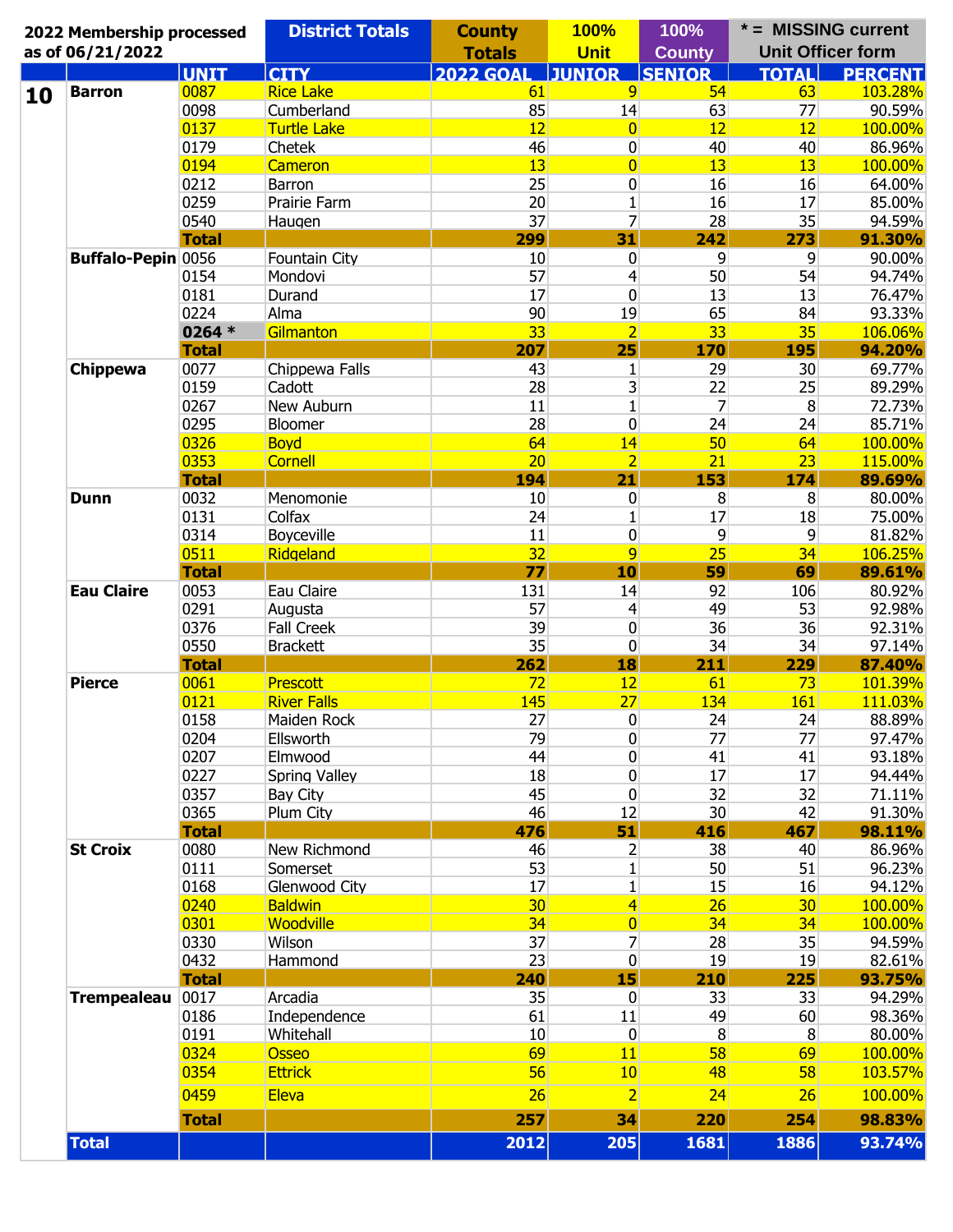| 2022 Membership processed<br>as of 06/21/2022 |              | <b>District Totals</b> | <b>County</b><br><b>Totals</b> | <b>100%</b><br><b>Unit</b>              | 100%<br><b>County</b> | * = MISSING current<br><b>Unit Officer form</b> |                  |
|-----------------------------------------------|--------------|------------------------|--------------------------------|-----------------------------------------|-----------------------|-------------------------------------------------|------------------|
|                                               | <b>UNIT</b>  | <b>CITY</b>            | <b>2022 GOAL</b>               | <b>JUNIOR</b>                           | <b>SENIOR</b>         | <b>TOTAL</b>                                    | <b>PERCENT</b>   |
| <b>Barron</b>                                 | 0087         | <b>Rice Lake</b>       | 61                             | $\overline{9}$                          | 54                    | 63                                              | 103.28%          |
|                                               | 0098         | Cumberland             | 85                             | 14                                      | 63                    | 77                                              | 90.59%           |
|                                               | 0137         | <b>Turtle Lake</b>     | 12                             | $\overline{0}$                          | 12                    | 12                                              | 100.00%          |
|                                               | 0179         | Chetek                 | 46                             | 0                                       | 40                    | 40                                              | 86.96%           |
|                                               | 0194         | <b>Cameron</b>         | 13                             | $\overline{0}$                          | 13                    | 13                                              | 100.00%          |
|                                               | 0212         | Barron                 | 25                             | 0                                       | 16                    | 16                                              | 64.00%           |
|                                               | 0259         | Prairie Farm           | 20                             | $\mathbf{1}$                            | 16                    | 17                                              | 85.00%           |
|                                               | 0540         | Haugen                 | 37                             | 7                                       | 28                    | 35                                              | 94.59%           |
|                                               | <b>Total</b> |                        | 299                            | 31                                      | 242                   | 273                                             | 91.30%           |
| Buffalo-Pepin 0056                            |              | Fountain City          | 10                             | 0                                       | $\overline{9}$        | 9                                               | 90.00%           |
|                                               | 0154         | Mondovi                | 57                             | 4                                       | 50                    | 54                                              | 94.74%           |
|                                               | 0181         | Durand                 | 17                             | 0                                       | 13                    | 13                                              | 76.47%           |
|                                               | 0224         | Alma                   | 90                             | 19                                      | 65                    | 84                                              | 93.33%           |
|                                               | 0264 $*$     | Gilmanton              | 33                             | $\overline{2}$                          | 33                    | 35                                              | 106.06%          |
|                                               | <b>Total</b> |                        | 207                            | 25                                      | 170                   | <b>195</b>                                      | 94.20%           |
| <b>Chippewa</b>                               | 0077         | Chippewa Falls         | 43                             |                                         | 29                    | 30 <sup>°</sup>                                 |                  |
|                                               | 0159         | Cadott                 | 28                             | $\mathbf{1}$<br>$\overline{\mathbf{3}}$ | 22                    | 25                                              | 69.77%<br>89.29% |
|                                               |              | New Auburn             | 11                             | $\mathbf{1}$                            | $\overline{7}$        | 8                                               |                  |
|                                               | 0267         |                        |                                |                                         |                       |                                                 | 72.73%           |
|                                               | 0295         | Bloomer                | 28                             | $\pmb{0}$                               | 24                    | 24                                              | 85.71%           |
|                                               | 0326         | <b>Boyd</b>            | 64                             | 14                                      | 50                    | 64                                              | 100.00%          |
|                                               | 0353         | <b>Cornell</b>         | 20                             | $\overline{2}$                          | 21                    | 23                                              | 115.00%          |
|                                               | <b>Total</b> |                        | 194                            | 21                                      | 153                   | 174                                             | 89.69%           |
| <b>Dunn</b>                                   | 0032         | Menomonie              | 10                             | $\bf{0}$                                | 8                     | 8                                               | 80.00%           |
|                                               | 0131         | Colfax                 | 24                             | $\mathbf{1}$                            | 17                    | 18                                              | 75.00%           |
|                                               | 0314         | Boyceville             | 11                             | $\bf{0}$                                | $\overline{9}$        | 9                                               | 81.82%           |
|                                               | 0511         | Ridgeland              | 32                             | $\overline{9}$                          | 25                    | 34                                              | 106.25%          |
|                                               | <b>Total</b> |                        | 77                             | 10                                      | 59                    | 69                                              | 89.61%           |
| <b>Eau Claire</b>                             | 0053         | Eau Claire             | 131                            | 14                                      | 92                    | 106                                             | 80.92%           |
|                                               | 0291         | Augusta                | 57                             | $\overline{4}$                          | 49                    | 53                                              | 92.98%           |
|                                               | 0376         | <b>Fall Creek</b>      | 39                             | 0                                       | 36                    | 36                                              | 92.31%           |
|                                               | 0550         | <b>Brackett</b>        | 35                             | $\mathbf 0$                             | 34                    | 34                                              | 97.14%           |
|                                               | <b>Total</b> |                        | 262                            | 18                                      | 211                   | 229                                             | 87.40%           |
| <b>Pierce</b>                                 | 0061         | Prescott               | 72                             | 12                                      | 61                    | 73                                              | 101.39%          |
|                                               | 0121         | <b>River Falls</b>     | 145                            | 27                                      | 134                   | 161                                             | 111.03%          |
|                                               | 0158         | Maiden Rock            | 27                             | $\pmb{0}$                               | 24                    | 24                                              | 88.89%           |
|                                               | 0204         | Ellsworth              | 79                             | 0                                       | 77                    | 77                                              | 97.47%           |
|                                               | 0207         | Elmwood                | 44                             | 0                                       | 41                    | 41                                              | 93.18%           |
|                                               | 0227         | Spring Valley          | 18                             | 0                                       | 17                    | 17                                              | 94.44%           |
|                                               | 0357         | Bay City               | 45                             | 0                                       | 32                    | 32                                              | 71.11%           |
|                                               | 0365         | Plum City              | 46                             | 12                                      | 30                    | 42                                              | 91.30%           |
|                                               | <b>Total</b> |                        | 476                            | 51                                      | 416                   | 467                                             | 98.11%           |
| <b>St Croix</b>                               | 0080         | New Richmond           | 46                             | $\overline{2}$                          | 38                    | 40                                              | 86.96%           |
|                                               | 0111         | Somerset               | 53                             | $\mathbf{1}$                            | 50                    | 51                                              | 96.23%           |
|                                               | 0168         | Glenwood City          | 17                             | $\mathbf{1}$                            | 15                    | 16                                              | 94.12%           |
|                                               | 0240         | <b>Baldwin</b>         | 30 <sub>2</sub>                | $\overline{\mathbf{4}}$                 | 26                    | 30 <sub>2</sub>                                 | 100.00%          |
|                                               | 0301         | <b>Woodville</b>       | 34                             | $\overline{0}$                          | 34                    | 34                                              | 100.00%          |
|                                               | 0330         | Wilson                 | 37                             | $\overline{7}$                          | 28                    | 35                                              | 94.59%           |
|                                               | 0432         | Hammond                | 23                             | $\boldsymbol{0}$                        | 19                    | 19                                              | 82.61%           |
|                                               | <b>Total</b> |                        | 240                            | 15                                      | 210                   | 225                                             | 93.75%           |
| <b>Trempealeau</b>                            | 0017         | Arcadia                | 35                             | $\overline{0}$                          | 33                    | 33                                              | 94.29%           |
|                                               | 0186         | Independence           | 61                             | 11                                      | 49                    | 60                                              | 98.36%           |
|                                               | 0191         | Whitehall              | 10                             | $\boldsymbol{0}$                        | 8                     | 8                                               | 80.00%           |
|                                               | 0324         | <b>Osseo</b>           | 69                             | 11                                      | 58                    | 69                                              | 100.00%          |
|                                               |              |                        |                                |                                         |                       |                                                 |                  |
|                                               | 0354         | <b>Ettrick</b>         | 56                             | 10                                      | 48                    | 58                                              | 103.57%          |
|                                               | 0459         | Eleva                  | 26                             | $\overline{2}$                          | 24                    | 26                                              | 100.00%          |
|                                               | <b>Total</b> |                        | 257                            | 34                                      | 220                   | 254                                             | 98.83%           |
| <b>Total</b>                                  |              |                        | 2012                           | 205                                     | 1681                  | 1886                                            | 93.74%           |
|                                               |              |                        |                                |                                         |                       |                                                 |                  |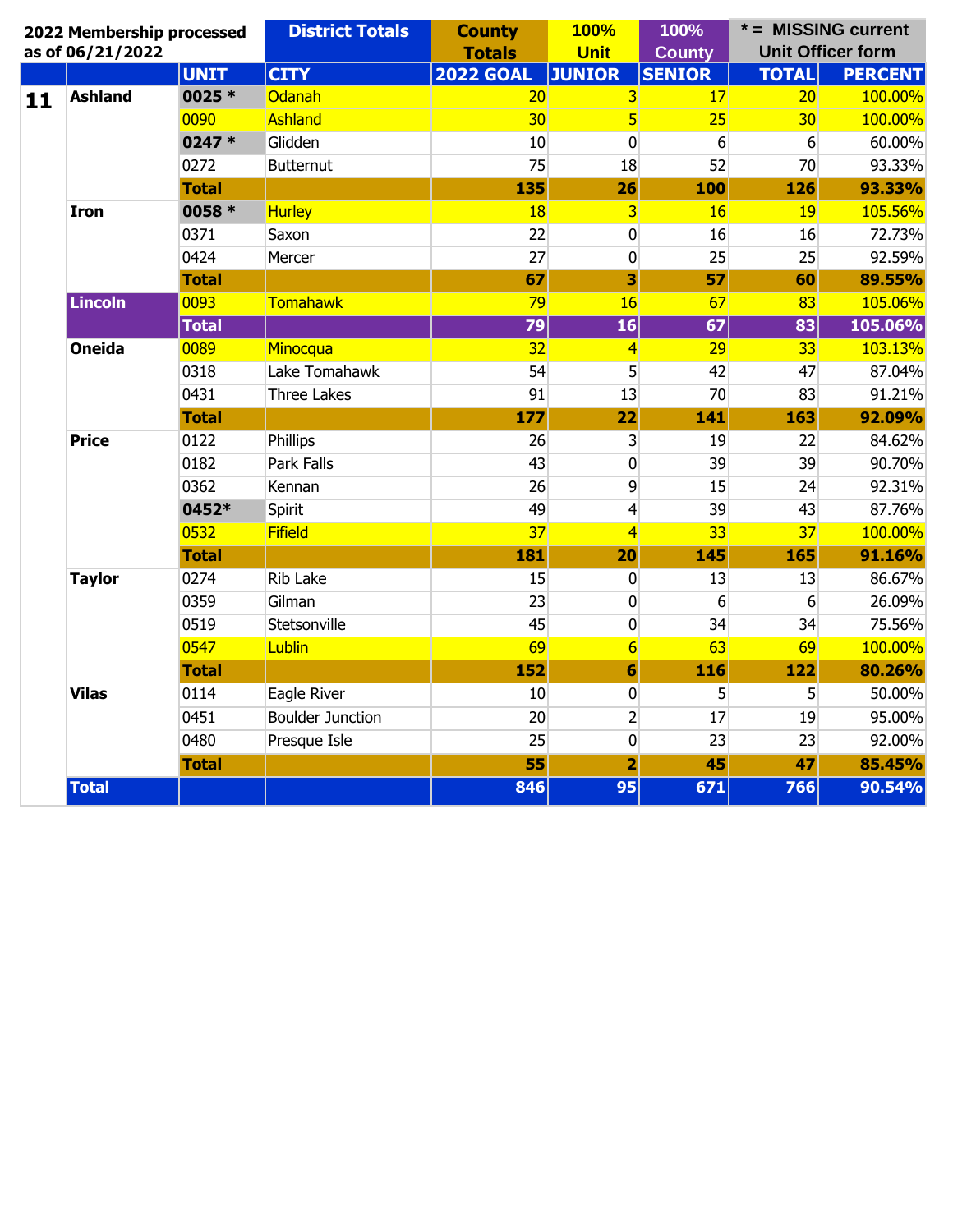|                                                                                                                                                                                                             | 2022 Membership processed       |              | <b>District Totals</b>  | <b>County</b>    | <b>100%</b>             | 100%            |              | * = MISSING current      |
|-------------------------------------------------------------------------------------------------------------------------------------------------------------------------------------------------------------|---------------------------------|--------------|-------------------------|------------------|-------------------------|-----------------|--------------|--------------------------|
|                                                                                                                                                                                                             | as of 06/21/2022                |              |                         | <b>Totals</b>    | <b>Unit</b>             | <b>County</b>   |              | <b>Unit Officer form</b> |
|                                                                                                                                                                                                             |                                 | <b>UNIT</b>  | <b>CITY</b>             | <b>2022 GOAL</b> | <b>JUNIOR</b>           | <b>SENIOR</b>   | <b>TOTAL</b> | <b>PERCENT</b>           |
| 11                                                                                                                                                                                                          | <b>Ashland</b>                  | 0025 *       | Odanah                  | 20               | $\overline{\mathbf{3}}$ | 17              | 20           | 100.00%                  |
|                                                                                                                                                                                                             |                                 | 0090         | Ashland                 | 30               | $5\overline{)}$         | 25              | 30           | 100.00%                  |
|                                                                                                                                                                                                             |                                 | 0247 *       | Glidden                 | 10               | $\overline{0}$          | 6               | 6            | 60.00%                   |
|                                                                                                                                                                                                             |                                 | 0272         | <b>Butternut</b>        | 75               | 18                      | 52              | 70           | 93.33%                   |
|                                                                                                                                                                                                             |                                 | <b>Total</b> |                         | 135              | 26                      | 100             | 126          | 93.33%                   |
|                                                                                                                                                                                                             | <b>Iron</b>                     | 0058 *       | <b>Hurley</b>           | 18               | $\overline{\mathbf{3}}$ | 16              | 19           | 105.56%                  |
|                                                                                                                                                                                                             |                                 | 0371         | Saxon                   | 22               | $\overline{0}$          | 16              | 16           | 72.73%                   |
|                                                                                                                                                                                                             |                                 | 0424         | Mercer                  | 27               | $\pmb{0}$               | 25              | 25           | 92.59%                   |
|                                                                                                                                                                                                             |                                 | <b>Total</b> |                         | 67               | 3                       | 57              | 60           | 89.55%                   |
|                                                                                                                                                                                                             | <b>Lincoln</b><br><b>Oneida</b> | 0093         | Tomahawk                | 79               | 16                      | 67              | 83           | 105.06%                  |
|                                                                                                                                                                                                             |                                 | <b>Total</b> |                         | 79               | 16                      | 67              | 83           | 105.06%                  |
|                                                                                                                                                                                                             |                                 | 0089         | Minocqua                | 32               | $\overline{4}$          | 29              | 33           | 103.13%                  |
|                                                                                                                                                                                                             |                                 | 0318         | Lake Tomahawk           | 54               | 5 <sup>1</sup>          | 42              | 47           | 87.04%                   |
|                                                                                                                                                                                                             | <b>Price</b>                    | 0431         | <b>Three Lakes</b>      | 91               | 13                      | 70              | 83           | 91.21%                   |
|                                                                                                                                                                                                             |                                 | <b>Total</b> |                         | 177              | 22                      | 141             | 163          | 92.09%                   |
|                                                                                                                                                                                                             |                                 | 0122         | Phillips                |                  |                         | 19              | 22           | 84.62%                   |
|                                                                                                                                                                                                             |                                 | 0182         | Park Falls              |                  |                         | 39              | 39           | 90.70%                   |
|                                                                                                                                                                                                             |                                 | 0362         | Kennan                  |                  |                         | 15              | 24           | 92.31%                   |
|                                                                                                                                                                                                             |                                 | 0452*        | Spirit                  |                  |                         | 39              | 43           | 87.76%                   |
|                                                                                                                                                                                                             |                                 | 0532         | Fifield                 |                  |                         | 33 <sup>5</sup> | 37           | 100.00%                  |
|                                                                                                                                                                                                             |                                 | <b>Total</b> |                         |                  | 20                      | 145             | 165          | 91.16%                   |
| 26<br>$\overline{\mathbf{3}}$<br>43<br>0<br>9<br>26<br>49<br>$\overline{4}$<br>37<br>$\overline{4}$<br>181<br>0274<br><b>Rib Lake</b><br><b>Taylor</b><br>15<br>$\overline{0}$<br>0359<br>23<br>Gilman<br>0 | 13                              | 13           | 86.67%                  |                  |                         |                 |              |                          |
|                                                                                                                                                                                                             |                                 |              |                         |                  |                         | 6               | 6            | 26.09%                   |
|                                                                                                                                                                                                             |                                 | 0519         | Stetsonville            | 45               | $\overline{0}$          | 34              | 34           | 75.56%                   |
|                                                                                                                                                                                                             |                                 | 0547         | Lublin                  | 69               | $6 \overline{}$         | 63              | 69           | 100.00%                  |
|                                                                                                                                                                                                             |                                 | <b>Total</b> |                         | 152              | 6                       | 116             | 122          | 80.26%                   |
|                                                                                                                                                                                                             | <b>Vilas</b>                    | 0114         | Eagle River             | 10               | $\boldsymbol{0}$        | 5               | 5            | 50.00%                   |
|                                                                                                                                                                                                             |                                 | 0451         | <b>Boulder Junction</b> | 20               | $\overline{2}$          | 17              | 19           | 95.00%                   |
|                                                                                                                                                                                                             |                                 | 0480         | Presque Isle            | 25               | $\overline{0}$          | 23              | 23           | 92.00%                   |
|                                                                                                                                                                                                             |                                 | <b>Total</b> |                         | 55               | $\overline{\mathbf{2}}$ | 45              | 47           | 85.45%                   |
|                                                                                                                                                                                                             | <b>Total</b>                    |              |                         | 846              | 95                      | 671             | 766          | 90.54%                   |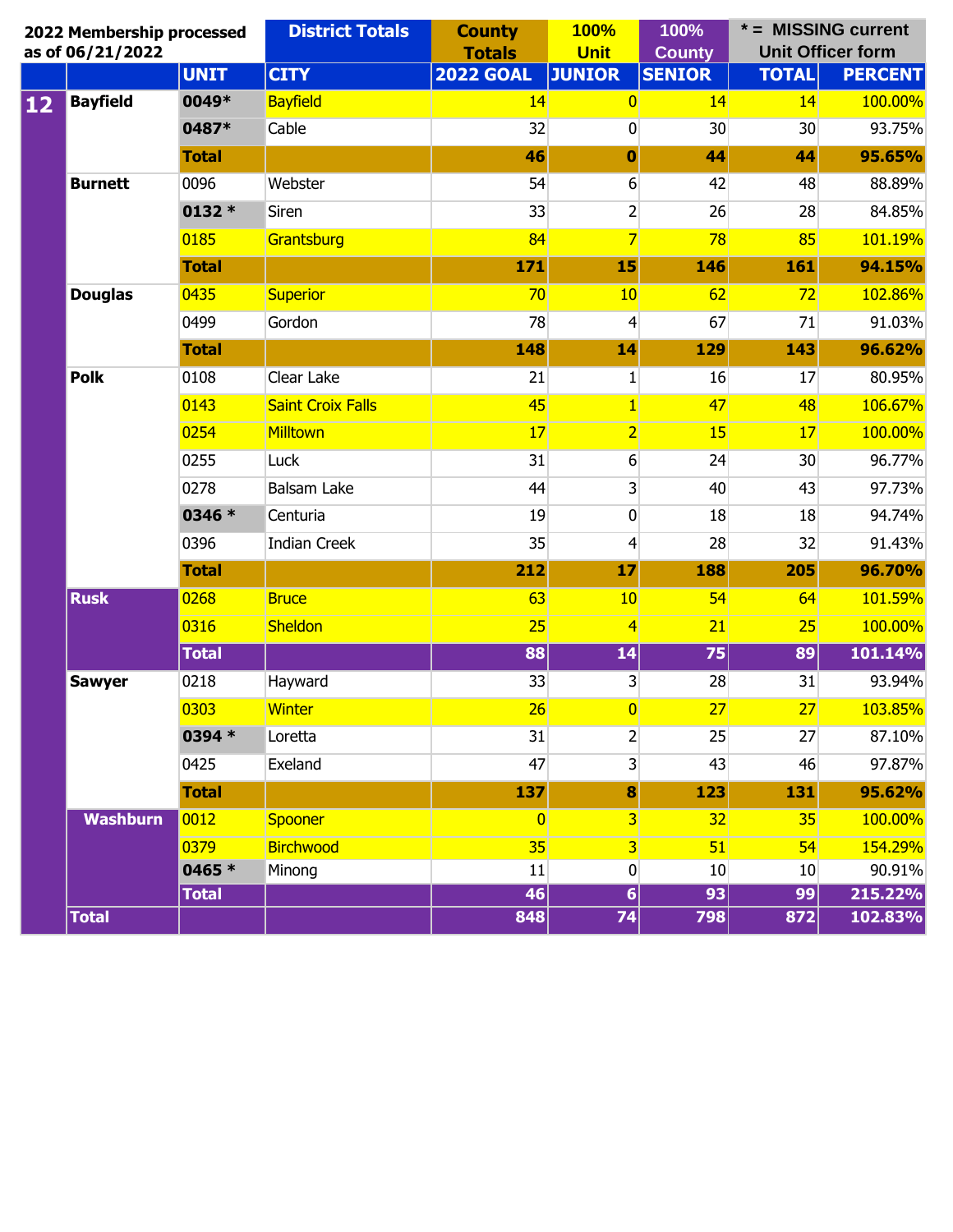|    | 2022 Membership processed<br>as of 06/21/2022 |              | <b>District Totals</b>   | <b>County</b><br><b>Totals</b> | <b>100%</b><br><b>Unit</b> | 100%<br><b>County</b> | * = MISSING current<br><b>Unit Officer form</b> |                |
|----|-----------------------------------------------|--------------|--------------------------|--------------------------------|----------------------------|-----------------------|-------------------------------------------------|----------------|
|    |                                               | <b>UNIT</b>  | <b>CITY</b>              | <b>2022 GOAL</b>               | <b>JUNIOR</b>              | <b>SENIOR</b>         | <b>TOTAL</b>                                    | <b>PERCENT</b> |
| 12 | <b>Bayfield</b>                               | 0049*        | <b>Bayfield</b>          | 14                             | $\overline{0}$             | 14                    | 14                                              | 100.00%        |
|    |                                               | 0487*        | Cable                    | 32                             | $\overline{0}$             | 30                    | 30                                              | 93.75%         |
|    |                                               | <b>Total</b> |                          | 46                             | $\mathbf 0$                | 44                    | 44                                              | 95.65%         |
|    | <b>Burnett</b>                                | 0096         | Webster                  | 54                             | 6                          | 42                    | 48                                              | 88.89%         |
|    |                                               | 0132 *       | Siren                    | 33                             | $\overline{2}$             | 26                    | 28                                              | 84.85%         |
|    |                                               | 0185         | Grantsburg               | 84                             | $\overline{7}$             | 78                    | 85                                              | 101.19%        |
|    |                                               | <b>Total</b> |                          | 171                            | 15                         | 146                   | 161                                             | 94.15%         |
|    | <b>Douglas</b>                                | 0435         | <b>Superior</b>          | 70                             | 10                         | 62                    | 72                                              | 102.86%        |
|    |                                               | 0499         | Gordon                   | 78                             | $\vert 4 \vert$            | 67                    | 71                                              | 91.03%         |
|    |                                               | <b>Total</b> |                          | 148                            | 14                         | 129                   | 143                                             | 96.62%         |
|    | <b>Polk</b>                                   | 0108         | Clear Lake               | 21                             | $\mathbf{1}$               | 16                    | 17                                              | 80.95%         |
|    |                                               | 0143         | <b>Saint Croix Falls</b> | 45                             | $\vert$ 1                  | 47                    | 48                                              | 106.67%        |
|    |                                               | 0254         | Milltown                 | 17                             | $\overline{2}$             | <b>15</b>             | 17                                              | 100.00%        |
|    |                                               | 0255         | Luck                     | 31                             | $6 \overline{6}$           | 24                    | 30                                              | 96.77%         |
|    |                                               | 0278         | <b>Balsam Lake</b>       | 44                             | $\overline{3}$             | 40                    | 43                                              | 97.73%         |
|    |                                               | 0346 *       | Centuria                 | 19                             | $\overline{0}$             | 18                    | 18                                              | 94.74%         |
|    |                                               | 0396         | <b>Indian Creek</b>      | 35                             | $\overline{4}$             | 28                    | 32                                              | 91.43%         |
|    |                                               | <b>Total</b> |                          | 212                            | 17                         | <b>188</b>            | 205                                             | 96.70%         |
|    | <b>Rusk</b>                                   | 0268         | <b>Bruce</b>             | 63                             | 10                         | 54                    | 64                                              | 101.59%        |
|    |                                               | 0316         | Sheldon                  | 25                             | $\overline{4}$             | 21                    | 25                                              | 100.00%        |
|    |                                               | <b>Total</b> |                          | 88                             | 14                         | $\overline{75}$       | 89                                              | 101.14%        |
|    | <b>Sawyer</b>                                 | 0218         | Hayward                  | 33                             | $\overline{3}$             | 28                    | 31                                              | 93.94%         |
|    |                                               | 0303         | <b>Winter</b>            | 26                             | $\overline{0}$             | 27                    | 27                                              | 103.85%        |
|    |                                               | 0394 *       | Loretta                  | 31                             | $\overline{2}$             | 25                    | 27                                              | 87.10%         |
|    |                                               | 0425         | Exeland                  | 47                             | $\overline{3}$             | 43                    | 46                                              | 97.87%         |
|    |                                               | <b>Total</b> |                          | 137                            | 8                          | 123                   | 131                                             | 95.62%         |
|    | Washburn                                      | 0012         | Spooner                  | $\overline{0}$                 | $\overline{3}$             | 32                    | 35                                              | 100.00%        |
|    |                                               | 0379         | <b>Birchwood</b>         | 35                             | $\overline{\mathbf{3}}$    | 51                    | 54                                              | 154.29%        |
|    |                                               | 0465 *       | Minong                   | 11                             | $\boldsymbol{0}$           | 10                    | 10                                              | 90.91%         |
|    |                                               | <b>Total</b> |                          | 46                             | $6\vert$                   | 93                    | 99                                              | 215.22%        |
|    | <b>Total</b>                                  |              |                          | 848                            | 74                         | 798                   | 872                                             | 102.83%        |